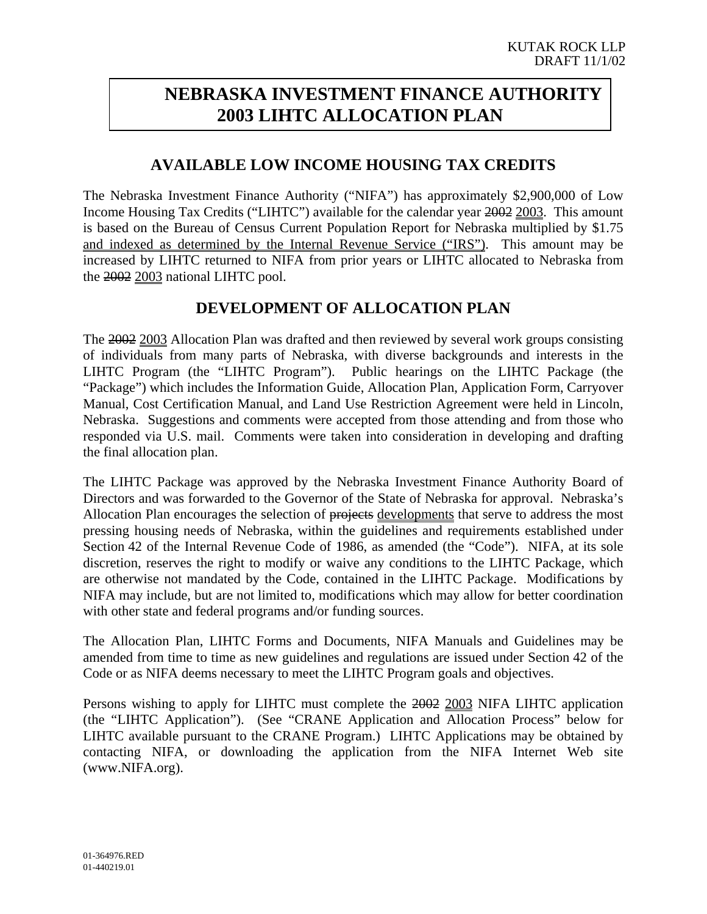# **NEBRASKA INVESTMENT FINANCE AUTHORITY 2003 LIHTC ALLOCATION PLAN**

#### **AVAILABLE LOW INCOME HOUSING TAX CREDITS**

The Nebraska Investment Finance Authority ("NIFA") has approximately \$2,900,000 of Low Income Housing Tax Credits ("LIHTC") available for the calendar year 2002 2003. This amount is based on the Bureau of Census Current Population Report for Nebraska multiplied by \$1.75 and indexed as determined by the Internal Revenue Service ("IRS"). This amount may be increased by LIHTC returned to NIFA from prior years or LIHTC allocated to Nebraska from the 2002 2003 national LIHTC pool.

#### **DEVELOPMENT OF ALLOCATION PLAN**

The 2002 2003 Allocation Plan was drafted and then reviewed by several work groups consisting of individuals from many parts of Nebraska, with diverse backgrounds and interests in the LIHTC Program (the "LIHTC Program"). Public hearings on the LIHTC Package (the "Package") which includes the Information Guide, Allocation Plan, Application Form, Carryover Manual, Cost Certification Manual, and Land Use Restriction Agreement were held in Lincoln, Nebraska. Suggestions and comments were accepted from those attending and from those who responded via U.S. mail. Comments were taken into consideration in developing and drafting the final allocation plan.

The LIHTC Package was approved by the Nebraska Investment Finance Authority Board of Directors and was forwarded to the Governor of the State of Nebraska for approval. Nebraska's Allocation Plan encourages the selection of projects developments that serve to address the most pressing housing needs of Nebraska, within the guidelines and requirements established under Section 42 of the Internal Revenue Code of 1986, as amended (the "Code"). NIFA, at its sole discretion, reserves the right to modify or waive any conditions to the LIHTC Package, which are otherwise not mandated by the Code, contained in the LIHTC Package. Modifications by NIFA may include, but are not limited to, modifications which may allow for better coordination with other state and federal programs and/or funding sources.

The Allocation Plan, LIHTC Forms and Documents, NIFA Manuals and Guidelines may be amended from time to time as new guidelines and regulations are issued under Section 42 of the Code or as NIFA deems necessary to meet the LIHTC Program goals and objectives.

Persons wishing to apply for LIHTC must complete the 2002 2003 NIFA LIHTC application (the "LIHTC Application"). (See "CRANE Application and Allocation Process" below for LIHTC available pursuant to the CRANE Program.) LIHTC Applications may be obtained by contacting NIFA, or downloading the application from the NIFA Internet Web site (www.NIFA.org).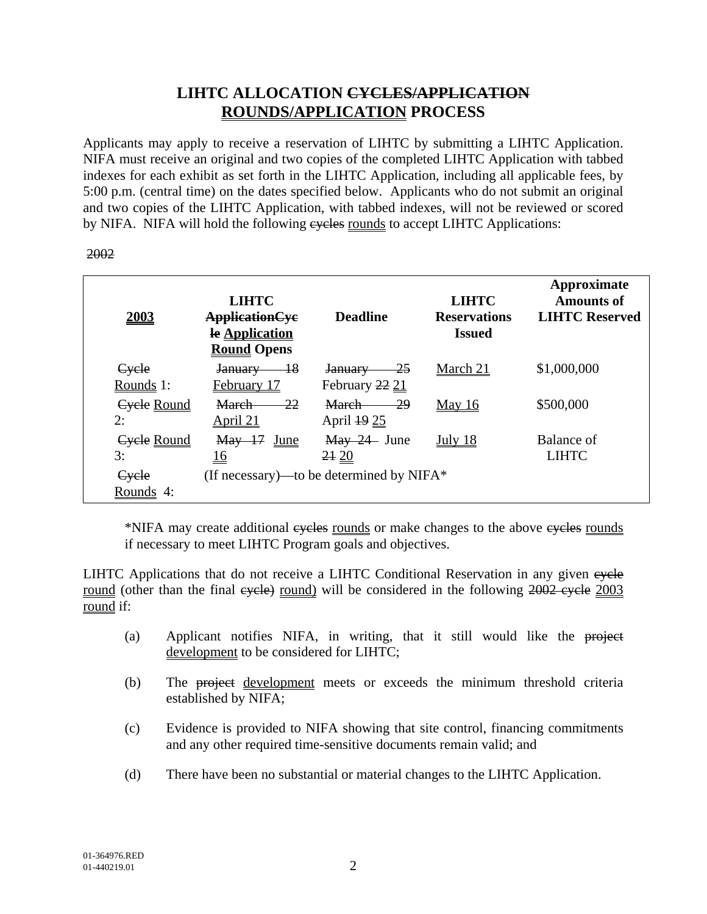## **LIHTC ALLOCATION CYCLES/APPLICATION ROUNDS/APPLICATION PROCESS**

Applicants may apply to receive a reservation of LIHTC by submitting a LIHTC Application. NIFA must receive an original and two copies of the completed LIHTC Application with tabbed indexes for each exhibit as set forth in the LIHTC Application, including all applicable fees, by 5:00 p.m. (central time) on the dates specified below. Applicants who do not submit an original and two copies of the LIHTC Application, with tabbed indexes, will not be reviewed or scored by NIFA. NIFA will hold the following eveles rounds to accept LIHTC Applications:

#### 2002

| <b>2003</b>              | <b>LIHTC</b><br><b>ApplicationCyc</b><br>le Application<br><b>Round Opens</b> | <b>Deadline</b>                             | <b>LIHTC</b><br><b>Reservations</b><br><b>Issued</b> | Approximate<br><b>Amounts of</b><br><b>LIHTC Reserved</b> |
|--------------------------|-------------------------------------------------------------------------------|---------------------------------------------|------------------------------------------------------|-----------------------------------------------------------|
| Cycle<br>Rounds 1:       | $-18$<br>January<br>February 17                                               | -25<br>January<br>February 22 21            | March 21                                             | \$1,000,000                                               |
| <b>Cycle Round</b><br>2: | 22<br><b>March</b><br>April 21                                                | 29<br><b>March</b><br>April 19 25           | <b>May 16</b>                                        | \$500,000                                                 |
| Cycle Round<br>3:        | $\text{May}$ 17<br><u>June</u><br><u>16</u>                                   | May 24 June<br>2420                         | July $18$                                            | Balance of<br><b>LIHTC</b>                                |
| Cycle<br>Rounds 4:       |                                                                               | (If necessary)—to be determined by NIFA $*$ |                                                      |                                                           |

\*NIFA may create additional eveles rounds or make changes to the above eveles rounds if necessary to meet LIHTC Program goals and objectives.

LIHTC Applications that do not receive a LIHTC Conditional Reservation in any given eyele round (other than the final eyele) round) will be considered in the following 2002 eyele 2003 round if:

- (a) Applicant notifies NIFA, in writing, that it still would like the project development to be considered for LIHTC;
- (b) The project development meets or exceeds the minimum threshold criteria established by NIFA;
- (c) Evidence is provided to NIFA showing that site control, financing commitments and any other required time-sensitive documents remain valid; and
- (d) There have been no substantial or material changes to the LIHTC Application.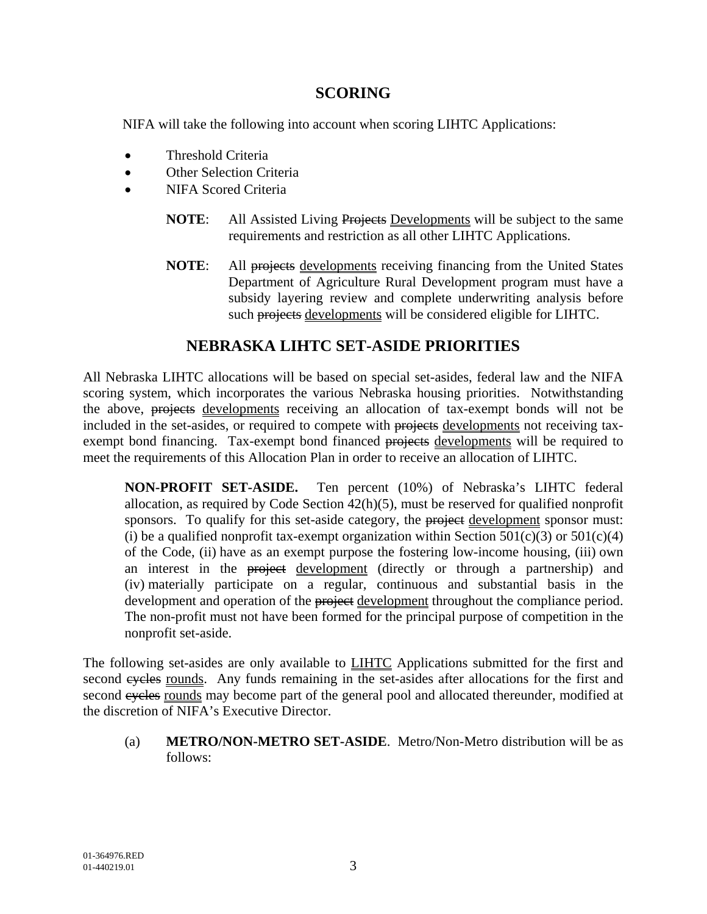#### **SCORING**

NIFA will take the following into account when scoring LIHTC Applications:

- Threshold Criteria
- Other Selection Criteria
- NIFA Scored Criteria
	- **NOTE:** All Assisted Living Projects Developments will be subject to the same requirements and restriction as all other LIHTC Applications.
	- **NOTE:** All projects developments receiving financing from the United States Department of Agriculture Rural Development program must have a subsidy layering review and complete underwriting analysis before such projects developments will be considered eligible for LIHTC.

#### **NEBRASKA LIHTC SET-ASIDE PRIORITIES**

All Nebraska LIHTC allocations will be based on special set-asides, federal law and the NIFA scoring system, which incorporates the various Nebraska housing priorities. Notwithstanding the above, projects developments receiving an allocation of tax-exempt bonds will not be included in the set-asides, or required to compete with projects developments not receiving taxexempt bond financing. Tax-exempt bond financed projects developments will be required to meet the requirements of this Allocation Plan in order to receive an allocation of LIHTC.

**NON-PROFIT SET-ASIDE.** Ten percent (10%) of Nebraska's LIHTC federal allocation, as required by Code Section 42(h)(5), must be reserved for qualified nonprofit sponsors. To qualify for this set-aside category, the project development sponsor must: (i) be a qualified nonprofit tax-exempt organization within Section  $501(c)(3)$  or  $501(c)(4)$ of the Code, (ii) have as an exempt purpose the fostering low-income housing, (iii) own an interest in the project development (directly or through a partnership) and (iv) materially participate on a regular, continuous and substantial basis in the development and operation of the project development throughout the compliance period. The non-profit must not have been formed for the principal purpose of competition in the nonprofit set-aside.

The following set-asides are only available to **LIHTC** Applications submitted for the first and second eyeles rounds. Any funds remaining in the set-asides after allocations for the first and second eyeles rounds may become part of the general pool and allocated thereunder, modified at the discretion of NIFA's Executive Director.

(a) **METRO/NON-METRO SET-ASIDE**. Metro/Non-Metro distribution will be as follows: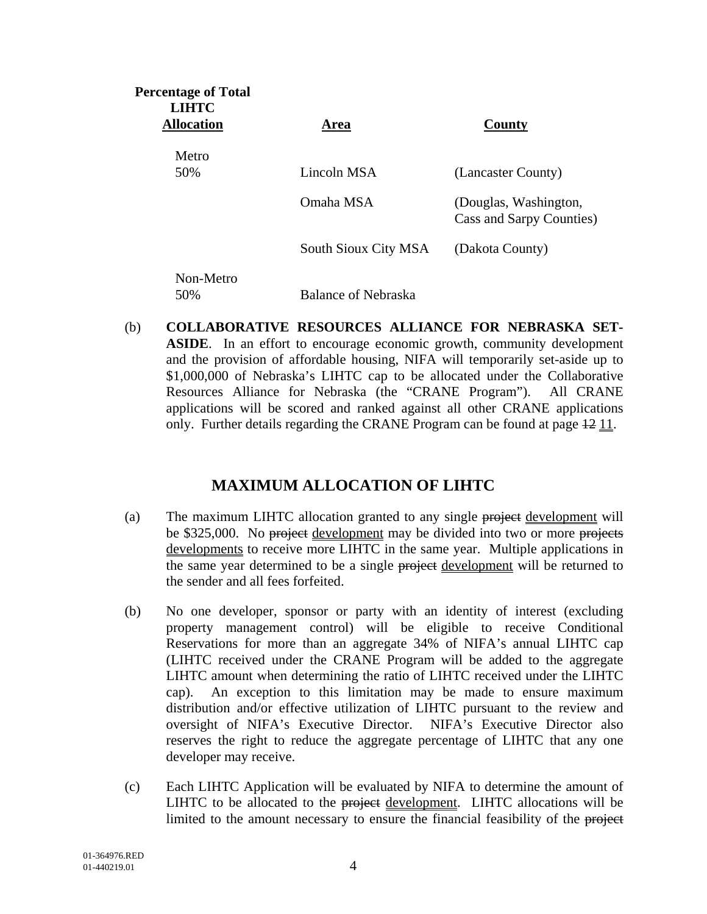| <b>Percentage of Total</b><br><b>LIHTC</b><br><b>Allocation</b> | Area                 | County                                            |
|-----------------------------------------------------------------|----------------------|---------------------------------------------------|
| Metro                                                           |                      |                                                   |
| 50%                                                             | Lincoln MSA          | (Lancaster County)                                |
|                                                                 | Omaha MSA            | (Douglas, Washington,<br>Cass and Sarpy Counties) |
|                                                                 | South Sioux City MSA | (Dakota County)                                   |
| Non-Metro<br>50%                                                | Balance of Nebraska  |                                                   |

(b) **COLLABORATIVE RESOURCES ALLIANCE FOR NEBRASKA SET-ASIDE**. In an effort to encourage economic growth, community development and the provision of affordable housing, NIFA will temporarily set-aside up to \$1,000,000 of Nebraska's LIHTC cap to be allocated under the Collaborative Resources Alliance for Nebraska (the "CRANE Program"). All CRANE applications will be scored and ranked against all other CRANE applications only. Further details regarding the CRANE Program can be found at page  $\frac{12}{11}$ .

#### **MAXIMUM ALLOCATION OF LIHTC**

- (a) The maximum LIHTC allocation granted to any single project development will be \$325,000. No project development may be divided into two or more projects developments to receive more LIHTC in the same year. Multiple applications in the same year determined to be a single project development will be returned to the sender and all fees forfeited.
- (b) No one developer, sponsor or party with an identity of interest (excluding property management control) will be eligible to receive Conditional Reservations for more than an aggregate 34% of NIFA's annual LIHTC cap (LIHTC received under the CRANE Program will be added to the aggregate LIHTC amount when determining the ratio of LIHTC received under the LIHTC cap). An exception to this limitation may be made to ensure maximum distribution and/or effective utilization of LIHTC pursuant to the review and oversight of NIFA's Executive Director. NIFA's Executive Director also reserves the right to reduce the aggregate percentage of LIHTC that any one developer may receive.
- (c) Each LIHTC Application will be evaluated by NIFA to determine the amount of LIHTC to be allocated to the project development. LIHTC allocations will be limited to the amount necessary to ensure the financial feasibility of the project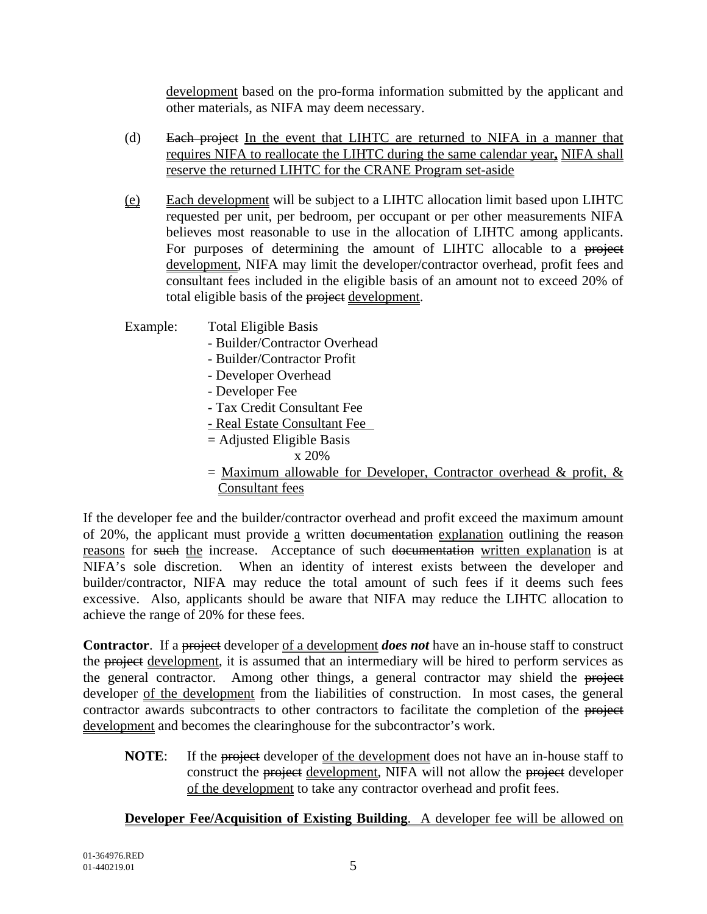development based on the pro-forma information submitted by the applicant and other materials, as NIFA may deem necessary.

- (d) Each project In the event that LIHTC are returned to NIFA in a manner that requires NIFA to reallocate the LIHTC during the same calendar year**,** NIFA shall reserve the returned LIHTC for the CRANE Program set-aside
- (e) Each development will be subject to a LIHTC allocation limit based upon LIHTC requested per unit, per bedroom, per occupant or per other measurements NIFA believes most reasonable to use in the allocation of LIHTC among applicants. For purposes of determining the amount of LIHTC allocable to a project development, NIFA may limit the developer/contractor overhead, profit fees and consultant fees included in the eligible basis of an amount not to exceed 20% of total eligible basis of the project development.

Example: Total Eligible Basis

- Builder/Contractor Overhead
- Builder/Contractor Profit
- Developer Overhead
- Developer Fee
- Tax Credit Consultant Fee
- Real Estate Consultant Fee
- $=$  Adjusted Eligible Basis
	- x 20%
- $=$  Maximum allowable for Developer, Contractor overhead & profit, & Consultant fees

If the developer fee and the builder/contractor overhead and profit exceed the maximum amount of 20%, the applicant must provide <u>a</u> written documentation explanation outlining the reason reasons for such the increase. Acceptance of such documentation written explanation is at NIFA's sole discretion. When an identity of interest exists between the developer and builder/contractor, NIFA may reduce the total amount of such fees if it deems such fees excessive. Also, applicants should be aware that NIFA may reduce the LIHTC allocation to achieve the range of 20% for these fees.

**Contractor**. If a project developer of a development *does not* have an in-house staff to construct the project development, it is assumed that an intermediary will be hired to perform services as the general contractor. Among other things, a general contractor may shield the project developer of the development from the liabilities of construction. In most cases, the general contractor awards subcontracts to other contractors to facilitate the completion of the project development and becomes the clearinghouse for the subcontractor's work.

**NOTE:** If the project developer of the development does not have an in-house staff to construct the project development, NIFA will not allow the project developer of the development to take any contractor overhead and profit fees.

#### **Developer Fee/Acquisition of Existing Building**. A developer fee will be allowed on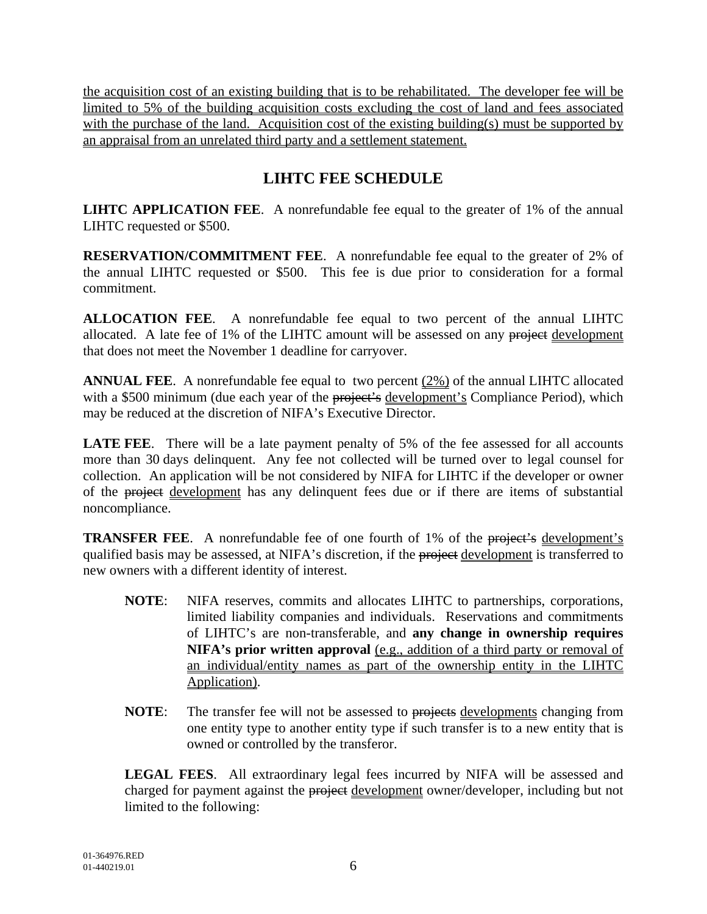the acquisition cost of an existing building that is to be rehabilitated. The developer fee will be limited to 5% of the building acquisition costs excluding the cost of land and fees associated with the purchase of the land. Acquisition cost of the existing building(s) must be supported by an appraisal from an unrelated third party and a settlement statement.

## **LIHTC FEE SCHEDULE**

**LIHTC APPLICATION FEE**. A nonrefundable fee equal to the greater of 1% of the annual LIHTC requested or \$500.

**RESERVATION/COMMITMENT FEE**. A nonrefundable fee equal to the greater of 2% of the annual LIHTC requested or \$500. This fee is due prior to consideration for a formal commitment.

**ALLOCATION FEE**. A nonrefundable fee equal to two percent of the annual LIHTC allocated. A late fee of 1% of the LIHTC amount will be assessed on any project development that does not meet the November 1 deadline for carryover.

**ANNUAL FEE**. A nonrefundable fee equal to two percent (2%) of the annual LIHTC allocated with a \$500 minimum (due each year of the project's development's Compliance Period), which may be reduced at the discretion of NIFA's Executive Director.

**LATE FEE.** There will be a late payment penalty of 5% of the fee assessed for all accounts more than 30 days delinquent. Any fee not collected will be turned over to legal counsel for collection. An application will be not considered by NIFA for LIHTC if the developer or owner of the project development has any delinquent fees due or if there are items of substantial noncompliance.

**TRANSFER FEE.** A nonrefundable fee of one fourth of 1% of the project's development's qualified basis may be assessed, at NIFA's discretion, if the project development is transferred to new owners with a different identity of interest.

- **NOTE**: NIFA reserves, commits and allocates LIHTC to partnerships, corporations, limited liability companies and individuals. Reservations and commitments of LIHTC's are non-transferable, and **any change in ownership requires NIFA's prior written approval** (e.g., addition of a third party or removal of an individual/entity names as part of the ownership entity in the LIHTC Application).
- **NOTE:** The transfer fee will not be assessed to projects developments changing from one entity type to another entity type if such transfer is to a new entity that is owned or controlled by the transferor.

**LEGAL FEES**. All extraordinary legal fees incurred by NIFA will be assessed and charged for payment against the project development owner/developer, including but not limited to the following: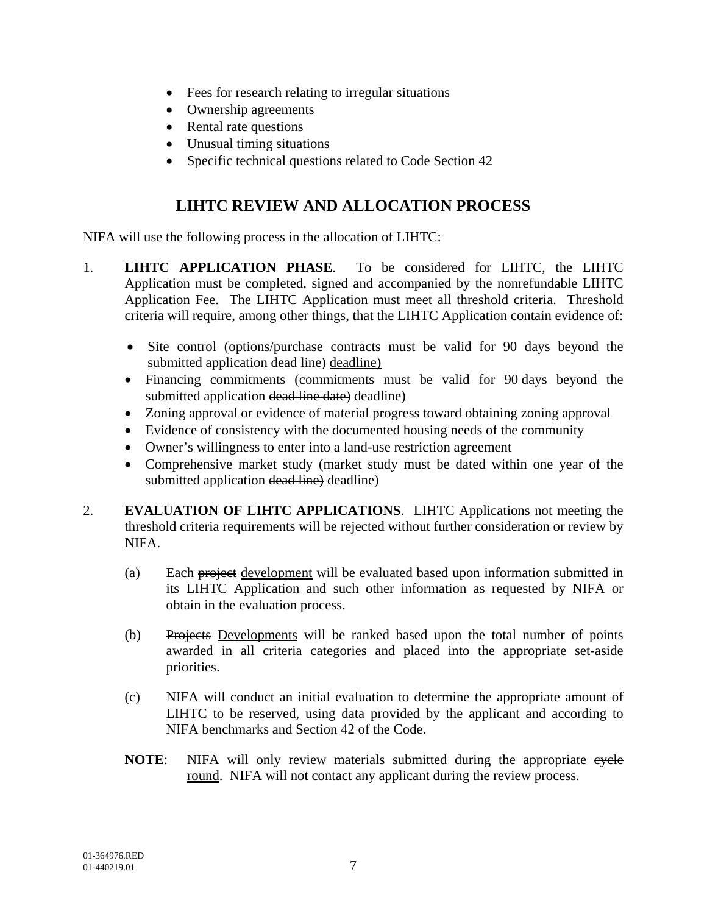- Fees for research relating to irregular situations
- Ownership agreements
- Rental rate questions
- Unusual timing situations
- Specific technical questions related to Code Section 42

### **LIHTC REVIEW AND ALLOCATION PROCESS**

NIFA will use the following process in the allocation of LIHTC:

- 1. **LIHTC APPLICATION PHASE**. To be considered for LIHTC, the LIHTC Application must be completed, signed and accompanied by the nonrefundable LIHTC Application Fee. The LIHTC Application must meet all threshold criteria. Threshold criteria will require, among other things, that the LIHTC Application contain evidence of:
	- Site control (options/purchase contracts must be valid for 90 days beyond the submitted application dead line) deadline)
	- Financing commitments (commitments must be valid for 90 days beyond the submitted application dead line date) deadline)
	- Zoning approval or evidence of material progress toward obtaining zoning approval
	- Evidence of consistency with the documented housing needs of the community
	- Owner's willingness to enter into a land-use restriction agreement
	- Comprehensive market study (market study must be dated within one year of the submitted application dead line) deadline)
- 2. **EVALUATION OF LIHTC APPLICATIONS**. LIHTC Applications not meeting the threshold criteria requirements will be rejected without further consideration or review by NIFA.
	- (a) Each project development will be evaluated based upon information submitted in its LIHTC Application and such other information as requested by NIFA or obtain in the evaluation process.
	- (b) Projects Developments will be ranked based upon the total number of points awarded in all criteria categories and placed into the appropriate set-aside priorities.
	- (c) NIFA will conduct an initial evaluation to determine the appropriate amount of LIHTC to be reserved, using data provided by the applicant and according to NIFA benchmarks and Section 42 of the Code.
	- **NOTE:** NIFA will only review materials submitted during the appropriate eyele round. NIFA will not contact any applicant during the review process.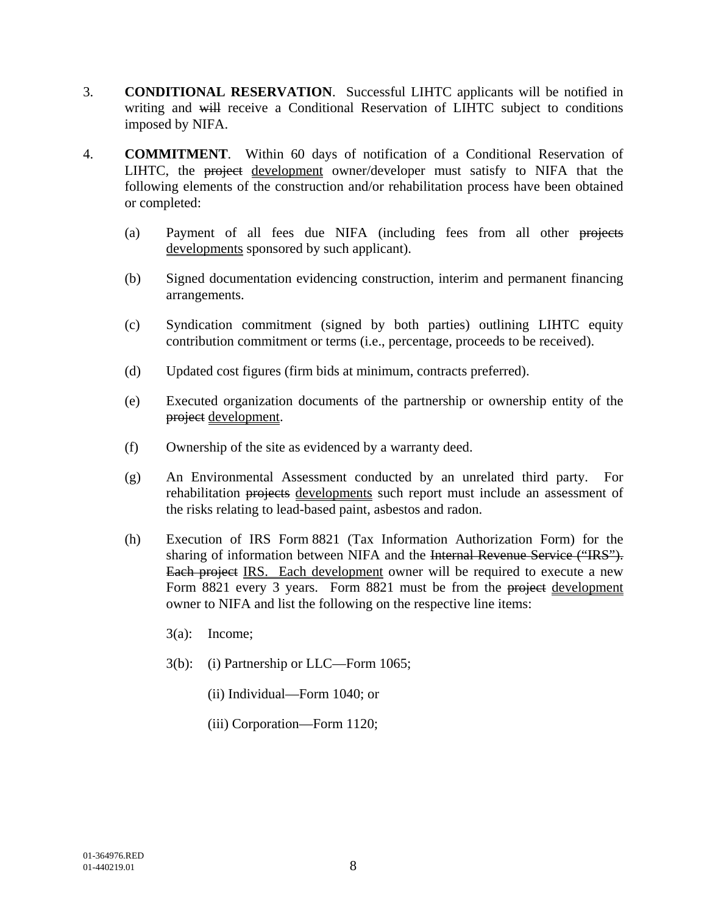- 3. **CONDITIONAL RESERVATION**. Successful LIHTC applicants will be notified in writing and will receive a Conditional Reservation of LIHTC subject to conditions imposed by NIFA.
- 4. **COMMITMENT**. Within 60 days of notification of a Conditional Reservation of LIHTC, the project development owner/developer must satisfy to NIFA that the following elements of the construction and/or rehabilitation process have been obtained or completed:
	- (a) Payment of all fees due NIFA (including fees from all other projects developments sponsored by such applicant).
	- (b) Signed documentation evidencing construction, interim and permanent financing arrangements.
	- (c) Syndication commitment (signed by both parties) outlining LIHTC equity contribution commitment or terms (i.e., percentage, proceeds to be received).
	- (d) Updated cost figures (firm bids at minimum, contracts preferred).
	- (e) Executed organization documents of the partnership or ownership entity of the project development.
	- (f) Ownership of the site as evidenced by a warranty deed.
	- (g) An Environmental Assessment conducted by an unrelated third party. For rehabilitation projects developments such report must include an assessment of the risks relating to lead-based paint, asbestos and radon.
	- (h) Execution of IRS Form 8821 (Tax Information Authorization Form) for the sharing of information between NIFA and the Internal Revenue Service ("IRS"). Each project IRS. Each development owner will be required to execute a new Form 8821 every 3 years. Form 8821 must be from the project development owner to NIFA and list the following on the respective line items:
		- 3(a): Income;
		- 3(b): (i) Partnership or LLC—Form 1065;
			- (ii) Individual—Form 1040; or
			- (iii) Corporation—Form 1120;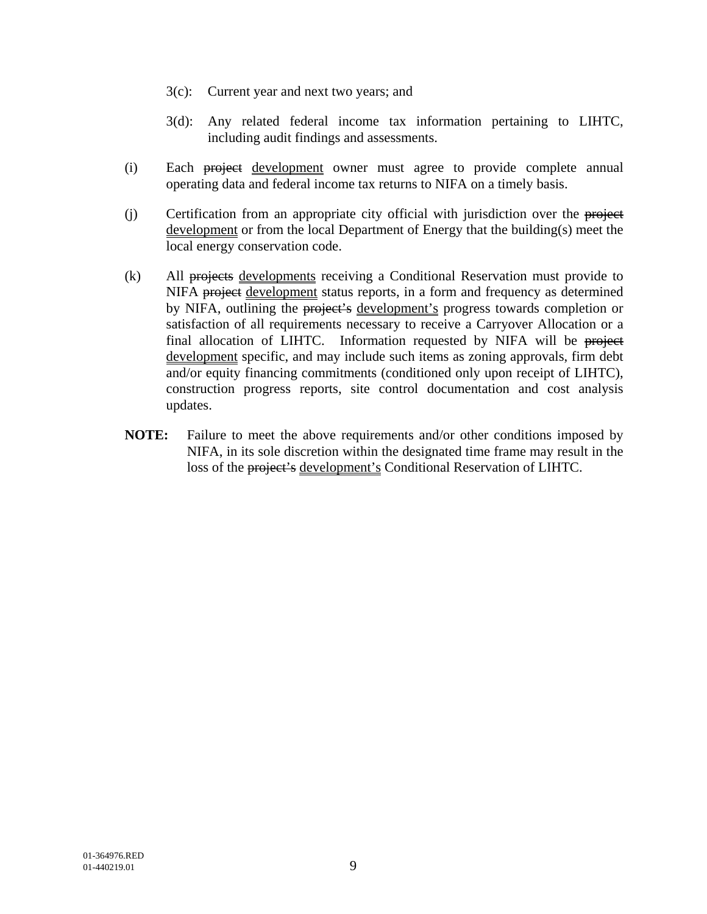- 3(c): Current year and next two years; and
- 3(d): Any related federal income tax information pertaining to LIHTC, including audit findings and assessments.
- (i) Each project development owner must agree to provide complete annual operating data and federal income tax returns to NIFA on a timely basis.
- (i) Certification from an appropriate city official with jurisdiction over the project development or from the local Department of Energy that the building(s) meet the local energy conservation code.
- (k) All projects developments receiving a Conditional Reservation must provide to NIFA project development status reports, in a form and frequency as determined by NIFA, outlining the project's development's progress towards completion or satisfaction of all requirements necessary to receive a Carryover Allocation or a final allocation of LIHTC. Information requested by NIFA will be project development specific, and may include such items as zoning approvals, firm debt and/or equity financing commitments (conditioned only upon receipt of LIHTC), construction progress reports, site control documentation and cost analysis updates.
- **NOTE:** Failure to meet the above requirements and/or other conditions imposed by NIFA, in its sole discretion within the designated time frame may result in the loss of the project's development's Conditional Reservation of LIHTC.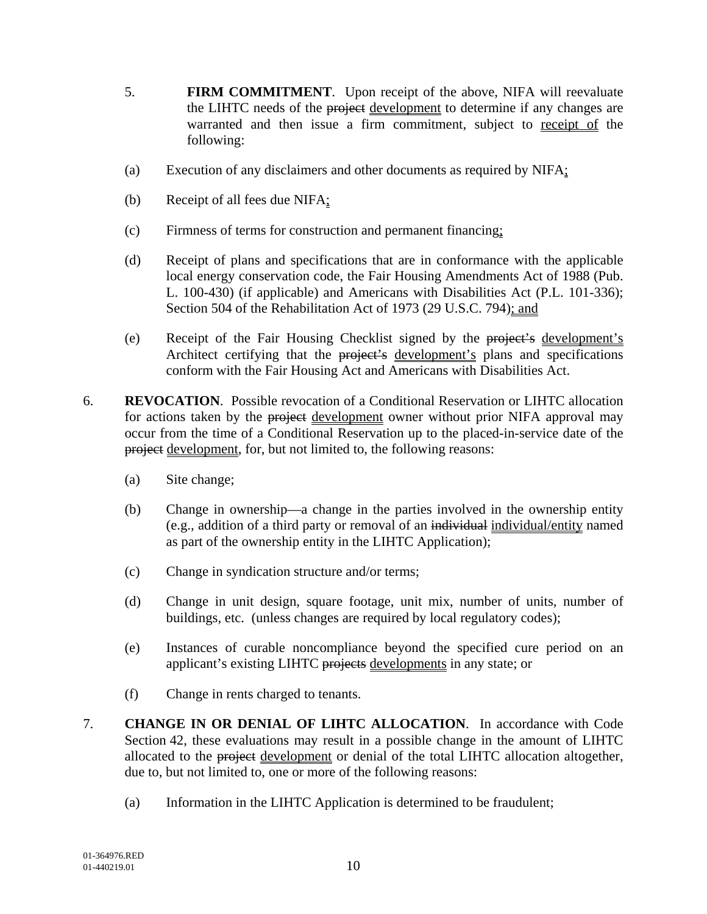- 5. **FIRM COMMITMENT**. Upon receipt of the above, NIFA will reevaluate the LIHTC needs of the project development to determine if any changes are warranted and then issue a firm commitment, subject to receipt of the following:
- (a) Execution of any disclaimers and other documents as required by NIFA;
- (b) Receipt of all fees due NIFA;
- (c) Firmness of terms for construction and permanent financing;
- (d) Receipt of plans and specifications that are in conformance with the applicable local energy conservation code, the Fair Housing Amendments Act of 1988 (Pub. L. 100-430) (if applicable) and Americans with Disabilities Act (P.L. 101-336); Section 504 of the Rehabilitation Act of 1973 (29 U.S.C. 794); and
- (e) Receipt of the Fair Housing Checklist signed by the project's development's Architect certifying that the project's development's plans and specifications conform with the Fair Housing Act and Americans with Disabilities Act.
- 6. **REVOCATION**.Possible revocation of a Conditional Reservation or LIHTC allocation for actions taken by the project development owner without prior NIFA approval may occur from the time of a Conditional Reservation up to the placed-in-service date of the project development, for, but not limited to, the following reasons:
	- (a) Site change;
	- (b) Change in ownership—a change in the parties involved in the ownership entity (e.g., addition of a third party or removal of an individual individual/entity named as part of the ownership entity in the LIHTC Application);
	- (c) Change in syndication structure and/or terms;
	- (d) Change in unit design, square footage, unit mix, number of units, number of buildings, etc. (unless changes are required by local regulatory codes);
	- (e) Instances of curable noncompliance beyond the specified cure period on an applicant's existing LIHTC projects developments in any state; or
	- (f) Change in rents charged to tenants.
- 7. **CHANGE IN OR DENIAL OF LIHTC ALLOCATION**. In accordance with Code Section 42, these evaluations may result in a possible change in the amount of LIHTC allocated to the project development or denial of the total LIHTC allocation altogether, due to, but not limited to, one or more of the following reasons:
	- (a) Information in the LIHTC Application is determined to be fraudulent;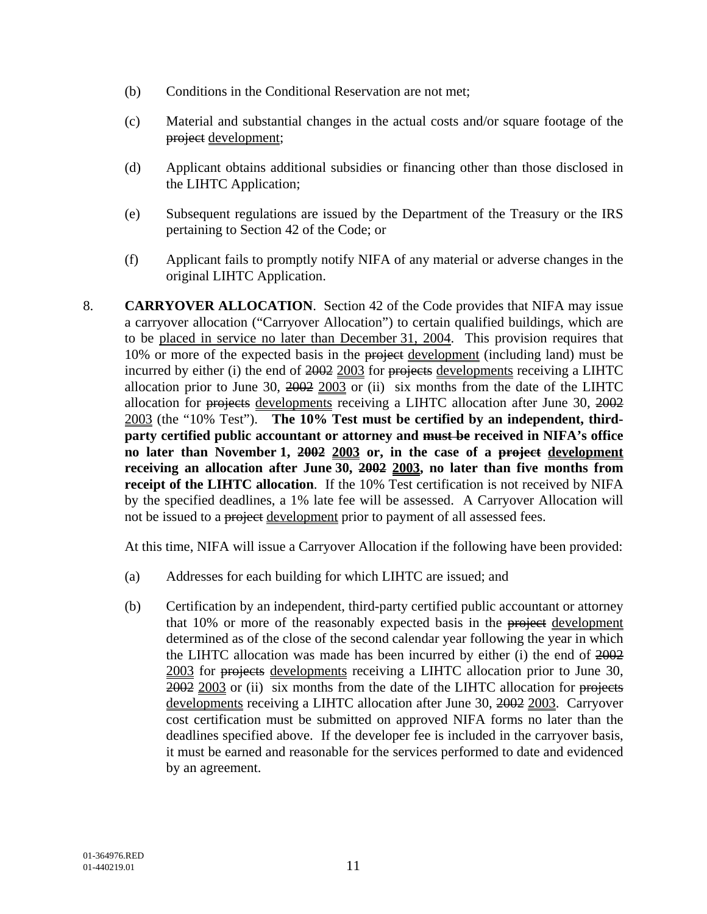- (b) Conditions in the Conditional Reservation are not met;
- (c) Material and substantial changes in the actual costs and/or square footage of the project development;
- (d) Applicant obtains additional subsidies or financing other than those disclosed in the LIHTC Application;
- (e) Subsequent regulations are issued by the Department of the Treasury or the IRS pertaining to Section 42 of the Code; or
- (f) Applicant fails to promptly notify NIFA of any material or adverse changes in the original LIHTC Application.
- 8. **CARRYOVER ALLOCATION**. Section 42 of the Code provides that NIFA may issue a carryover allocation ("Carryover Allocation") to certain qualified buildings, which are to be placed in service no later than December 31, 2004. This provision requires that 10% or more of the expected basis in the project development (including land) must be incurred by either (i) the end of 2002 2003 for projects developments receiving a LIHTC allocation prior to June 30,  $2002$   $2003$  or (ii) six months from the date of the LIHTC allocation for projects developments receiving a LIHTC allocation after June 30, 2002 2003 (the "10% Test"). **The 10% Test must be certified by an independent, thirdparty certified public accountant or attorney and must be received in NIFA's office no later than November 1, 2002 2003 or, in the case of a project development receiving an allocation after June 30, 2002 2003, no later than five months from receipt of the LIHTC allocation**. If the 10% Test certification is not received by NIFA by the specified deadlines, a 1% late fee will be assessed. A Carryover Allocation will not be issued to a project development prior to payment of all assessed fees.

At this time, NIFA will issue a Carryover Allocation if the following have been provided:

- (a) Addresses for each building for which LIHTC are issued; and
- (b) Certification by an independent, third-party certified public accountant or attorney that 10% or more of the reasonably expected basis in the project development determined as of the close of the second calendar year following the year in which the LIHTC allocation was made has been incurred by either (i) the end of 2002 2003 for projects developments receiving a LIHTC allocation prior to June 30, 2002 2003 or (ii) six months from the date of the LIHTC allocation for projects developments receiving a LIHTC allocation after June 30, 2002 2003. Carryover cost certification must be submitted on approved NIFA forms no later than the deadlines specified above. If the developer fee is included in the carryover basis, it must be earned and reasonable for the services performed to date and evidenced by an agreement.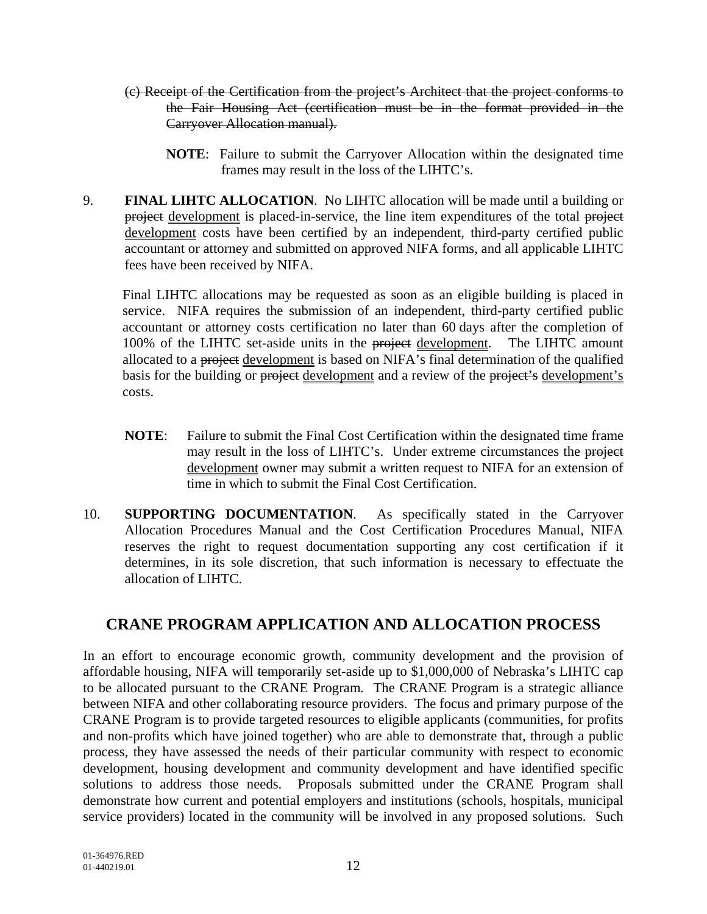- (c) Receipt of the Certification from the project's Architect that the project conforms to the Fair Housing Act (certification must be in the format provided in the Carryover Allocation manual).
	- **NOTE**: Failure to submit the Carryover Allocation within the designated time frames may result in the loss of the LIHTC's.
- 9. **FINAL LIHTC ALLOCATION**. No LIHTC allocation will be made until a building or project development is placed-in-service, the line item expenditures of the total project development costs have been certified by an independent, third-party certified public accountant or attorney and submitted on approved NIFA forms, and all applicable LIHTC fees have been received by NIFA.

Final LIHTC allocations may be requested as soon as an eligible building is placed in service. NIFA requires the submission of an independent, third-party certified public accountant or attorney costs certification no later than 60 days after the completion of 100% of the LIHTC set-aside units in the project development. The LIHTC amount allocated to a project development is based on NIFA's final determination of the qualified basis for the building or project development and a review of the project's development's costs.

- **NOTE**: Failure to submit the Final Cost Certification within the designated time frame may result in the loss of LIHTC's. Under extreme circumstances the project development owner may submit a written request to NIFA for an extension of time in which to submit the Final Cost Certification.
- 10. **SUPPORTING DOCUMENTATION**. As specifically stated in the Carryover Allocation Procedures Manual and the Cost Certification Procedures Manual, NIFA reserves the right to request documentation supporting any cost certification if it determines, in its sole discretion, that such information is necessary to effectuate the allocation of LIHTC.

## **CRANE PROGRAM APPLICATION AND ALLOCATION PROCESS**

In an effort to encourage economic growth, community development and the provision of affordable housing, NIFA will temporarily set-aside up to \$1,000,000 of Nebraska's LIHTC cap to be allocated pursuant to the CRANE Program. The CRANE Program is a strategic alliance between NIFA and other collaborating resource providers. The focus and primary purpose of the CRANE Program is to provide targeted resources to eligible applicants (communities, for profits and non-profits which have joined together) who are able to demonstrate that, through a public process, they have assessed the needs of their particular community with respect to economic development, housing development and community development and have identified specific solutions to address those needs. Proposals submitted under the CRANE Program shall demonstrate how current and potential employers and institutions (schools, hospitals, municipal service providers) located in the community will be involved in any proposed solutions. Such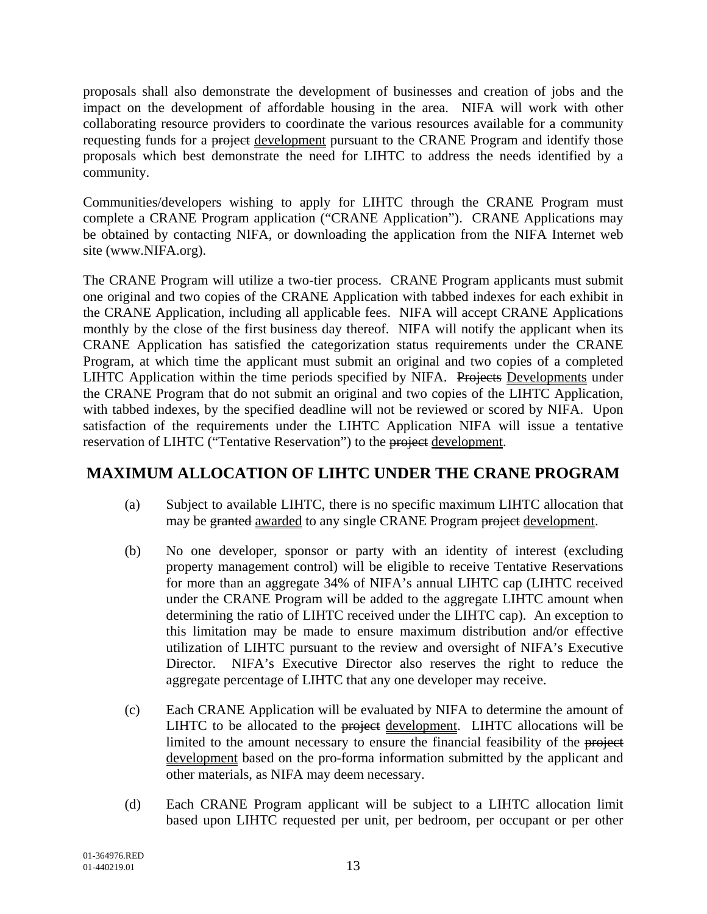proposals shall also demonstrate the development of businesses and creation of jobs and the impact on the development of affordable housing in the area. NIFA will work with other collaborating resource providers to coordinate the various resources available for a community requesting funds for a project development pursuant to the CRANE Program and identify those proposals which best demonstrate the need for LIHTC to address the needs identified by a community.

Communities/developers wishing to apply for LIHTC through the CRANE Program must complete a CRANE Program application ("CRANE Application"). CRANE Applications may be obtained by contacting NIFA, or downloading the application from the NIFA Internet web site (www.NIFA.org).

The CRANE Program will utilize a two-tier process. CRANE Program applicants must submit one original and two copies of the CRANE Application with tabbed indexes for each exhibit in the CRANE Application, including all applicable fees. NIFA will accept CRANE Applications monthly by the close of the first business day thereof. NIFA will notify the applicant when its CRANE Application has satisfied the categorization status requirements under the CRANE Program, at which time the applicant must submit an original and two copies of a completed LIHTC Application within the time periods specified by NIFA. Projects Developments under the CRANE Program that do not submit an original and two copies of the LIHTC Application, with tabbed indexes, by the specified deadline will not be reviewed or scored by NIFA. Upon satisfaction of the requirements under the LIHTC Application NIFA will issue a tentative reservation of LIHTC ("Tentative Reservation") to the project development.

## **MAXIMUM ALLOCATION OF LIHTC UNDER THE CRANE PROGRAM**

- (a) Subject to available LIHTC, there is no specific maximum LIHTC allocation that may be granted awarded to any single CRANE Program project development.
- (b) No one developer, sponsor or party with an identity of interest (excluding property management control) will be eligible to receive Tentative Reservations for more than an aggregate 34% of NIFA's annual LIHTC cap (LIHTC received under the CRANE Program will be added to the aggregate LIHTC amount when determining the ratio of LIHTC received under the LIHTC cap). An exception to this limitation may be made to ensure maximum distribution and/or effective utilization of LIHTC pursuant to the review and oversight of NIFA's Executive Director. NIFA's Executive Director also reserves the right to reduce the aggregate percentage of LIHTC that any one developer may receive.
- (c) Each CRANE Application will be evaluated by NIFA to determine the amount of LIHTC to be allocated to the project development. LIHTC allocations will be limited to the amount necessary to ensure the financial feasibility of the project development based on the pro-forma information submitted by the applicant and other materials, as NIFA may deem necessary.
- (d) Each CRANE Program applicant will be subject to a LIHTC allocation limit based upon LIHTC requested per unit, per bedroom, per occupant or per other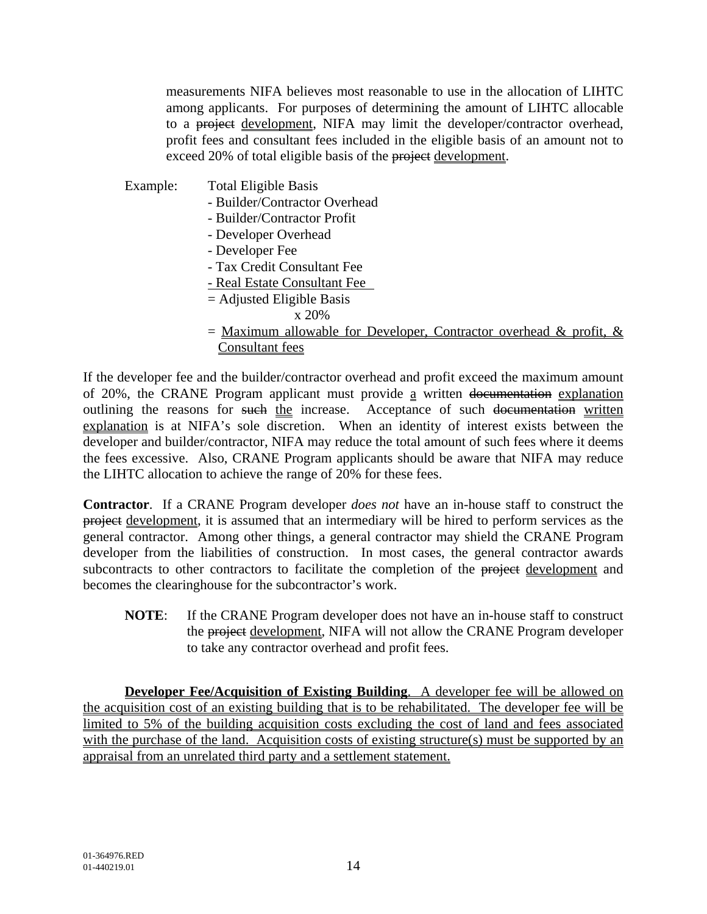measurements NIFA believes most reasonable to use in the allocation of LIHTC among applicants. For purposes of determining the amount of LIHTC allocable to a project development, NIFA may limit the developer/contractor overhead, profit fees and consultant fees included in the eligible basis of an amount not to exceed 20% of total eligible basis of the project development.

- Example: Total Eligible Basis
	- Builder/Contractor Overhead
	- Builder/Contractor Profit
	- Developer Overhead
	- Developer Fee
	- Tax Credit Consultant Fee
	- Real Estate Consultant Fee
	- = Adjusted Eligible Basis
		- x 20%
	- $=$  Maximum allowable for Developer, Contractor overhead & profit, & Consultant fees

If the developer fee and the builder/contractor overhead and profit exceed the maximum amount of 20%, the CRANE Program applicant must provide a written documentation explanation outlining the reasons for such the increase. Acceptance of such documentation written explanation is at NIFA's sole discretion. When an identity of interest exists between the developer and builder/contractor, NIFA may reduce the total amount of such fees where it deems the fees excessive. Also, CRANE Program applicants should be aware that NIFA may reduce the LIHTC allocation to achieve the range of 20% for these fees.

**Contractor**. If a CRANE Program developer *does not* have an in-house staff to construct the project development, it is assumed that an intermediary will be hired to perform services as the general contractor. Among other things, a general contractor may shield the CRANE Program developer from the liabilities of construction. In most cases, the general contractor awards subcontracts to other contractors to facilitate the completion of the project development and becomes the clearinghouse for the subcontractor's work.

**NOTE**: If the CRANE Program developer does not have an in-house staff to construct the project development, NIFA will not allow the CRANE Program developer to take any contractor overhead and profit fees.

**Developer Fee/Acquisition of Existing Building**. A developer fee will be allowed on the acquisition cost of an existing building that is to be rehabilitated. The developer fee will be limited to 5% of the building acquisition costs excluding the cost of land and fees associated with the purchase of the land. Acquisition costs of existing structure(s) must be supported by an appraisal from an unrelated third party and a settlement statement.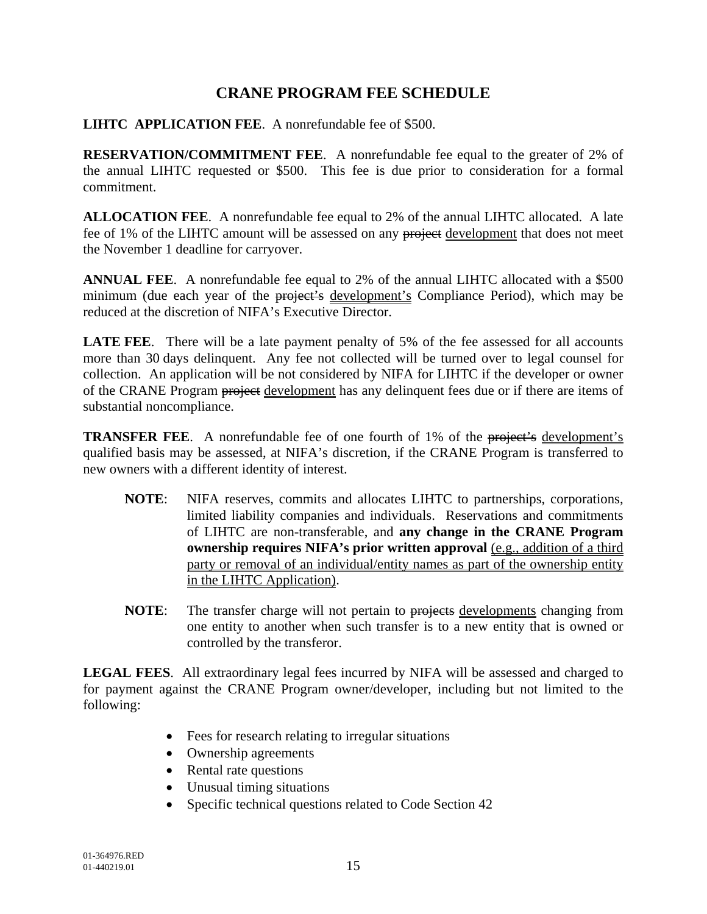### **CRANE PROGRAM FEE SCHEDULE**

**LIHTC APPLICATION FEE**. A nonrefundable fee of \$500.

**RESERVATION/COMMITMENT FEE**. A nonrefundable fee equal to the greater of 2% of the annual LIHTC requested or \$500. This fee is due prior to consideration for a formal commitment.

**ALLOCATION FEE**. A nonrefundable fee equal to 2% of the annual LIHTC allocated. A late fee of 1% of the LIHTC amount will be assessed on any project development that does not meet the November 1 deadline for carryover.

**ANNUAL FEE**. A nonrefundable fee equal to 2% of the annual LIHTC allocated with a \$500 minimum (due each year of the project's development's Compliance Period), which may be reduced at the discretion of NIFA's Executive Director.

**LATE FEE.** There will be a late payment penalty of 5% of the fee assessed for all accounts more than 30 days delinquent. Any fee not collected will be turned over to legal counsel for collection. An application will be not considered by NIFA for LIHTC if the developer or owner of the CRANE Program project development has any delinquent fees due or if there are items of substantial noncompliance.

**TRANSFER FEE.** A nonrefundable fee of one fourth of 1% of the project's development's qualified basis may be assessed, at NIFA's discretion, if the CRANE Program is transferred to new owners with a different identity of interest.

- **NOTE**: NIFA reserves, commits and allocates LIHTC to partnerships, corporations, limited liability companies and individuals. Reservations and commitments of LIHTC are non-transferable, and **any change in the CRANE Program ownership requires NIFA's prior written approval** (e.g., addition of a third party or removal of an individual/entity names as part of the ownership entity in the LIHTC Application).
- **NOTE:** The transfer charge will not pertain to projects developments changing from one entity to another when such transfer is to a new entity that is owned or controlled by the transferor.

**LEGAL FEES**. All extraordinary legal fees incurred by NIFA will be assessed and charged to for payment against the CRANE Program owner/developer, including but not limited to the following:

- Fees for research relating to irregular situations
- Ownership agreements
- Rental rate questions
- Unusual timing situations
- Specific technical questions related to Code Section 42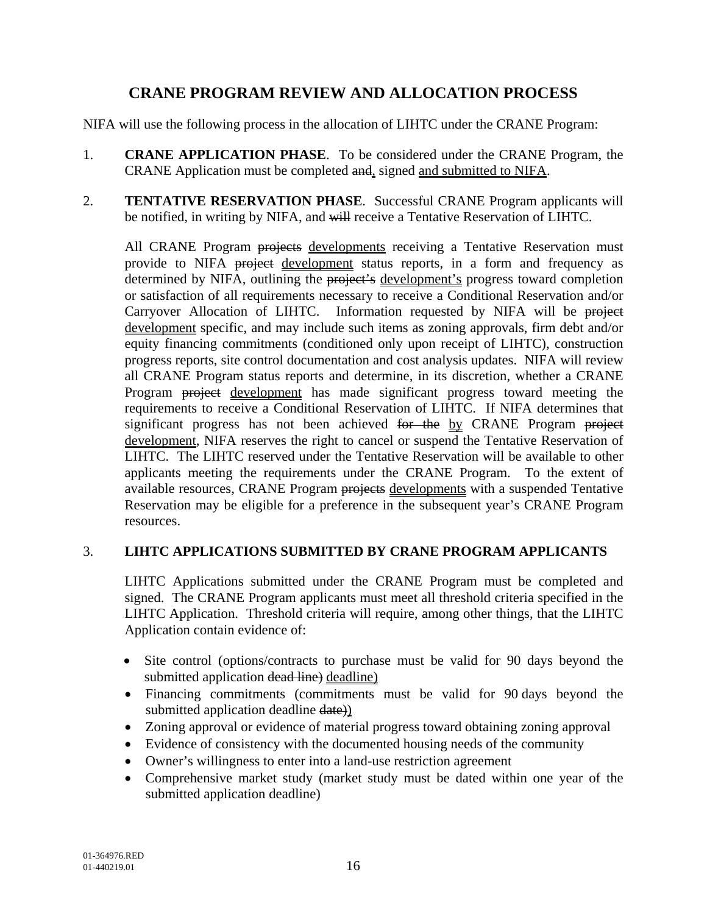## **CRANE PROGRAM REVIEW AND ALLOCATION PROCESS**

NIFA will use the following process in the allocation of LIHTC under the CRANE Program:

- 1. **CRANE APPLICATION PHASE**. To be considered under the CRANE Program, the CRANE Application must be completed and, signed and submitted to NIFA.
- 2. **TENTATIVE RESERVATION PHASE**. Successful CRANE Program applicants will be notified, in writing by NIFA, and will receive a Tentative Reservation of LIHTC.

All CRANE Program projects developments receiving a Tentative Reservation must provide to NIFA project development status reports, in a form and frequency as determined by NIFA, outlining the project's development's progress toward completion or satisfaction of all requirements necessary to receive a Conditional Reservation and/or Carryover Allocation of LIHTC. Information requested by NIFA will be project development specific, and may include such items as zoning approvals, firm debt and/or equity financing commitments (conditioned only upon receipt of LIHTC), construction progress reports, site control documentation and cost analysis updates. NIFA will review all CRANE Program status reports and determine, in its discretion, whether a CRANE Program project development has made significant progress toward meeting the requirements to receive a Conditional Reservation of LIHTC. If NIFA determines that significant progress has not been achieved for the by CRANE Program project development, NIFA reserves the right to cancel or suspend the Tentative Reservation of LIHTC. The LIHTC reserved under the Tentative Reservation will be available to other applicants meeting the requirements under the CRANE Program. To the extent of available resources, CRANE Program projects developments with a suspended Tentative Reservation may be eligible for a preference in the subsequent year's CRANE Program resources.

#### 3. **LIHTC APPLICATIONS SUBMITTED BY CRANE PROGRAM APPLICANTS**

LIHTC Applications submitted under the CRANE Program must be completed and signed. The CRANE Program applicants must meet all threshold criteria specified in the LIHTC Application. Threshold criteria will require, among other things, that the LIHTC Application contain evidence of:

- Site control (options/contracts to purchase must be valid for 90 days beyond the submitted application dead line) deadline)
- Financing commitments (commitments must be valid for 90 days beyond the submitted application deadline date)
- Zoning approval or evidence of material progress toward obtaining zoning approval
- Evidence of consistency with the documented housing needs of the community
- Owner's willingness to enter into a land-use restriction agreement
- Comprehensive market study (market study must be dated within one year of the submitted application deadline)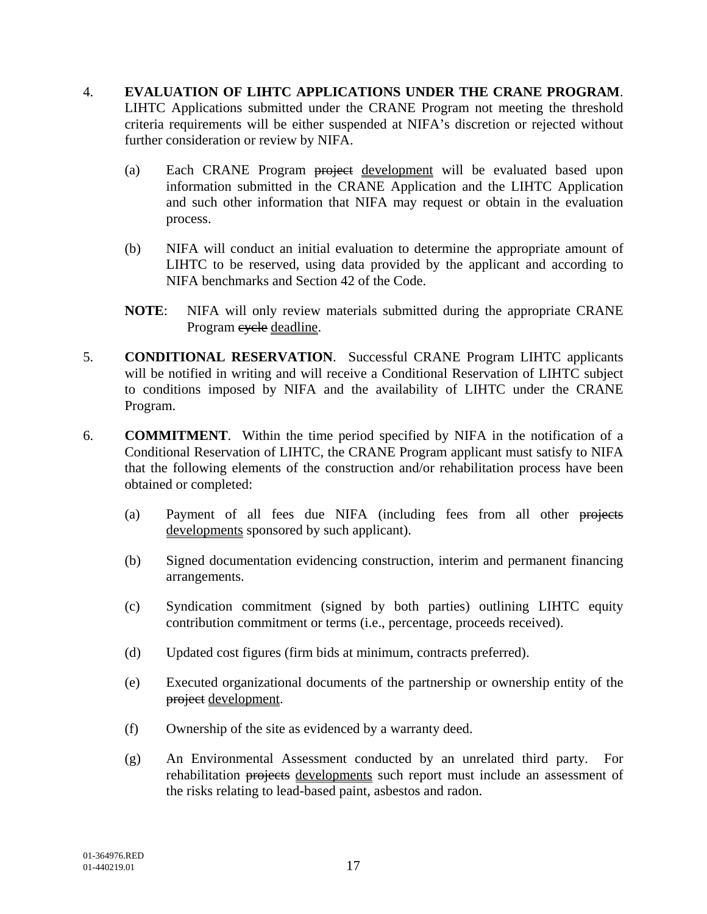#### 4. **EVALUATION OF LIHTC APPLICATIONS UNDER THE CRANE PROGRAM**. LIHTC Applications submitted under the CRANE Program not meeting the threshold criteria requirements will be either suspended at NIFA's discretion or rejected without further consideration or review by NIFA.

- (a) Each CRANE Program project development will be evaluated based upon information submitted in the CRANE Application and the LIHTC Application and such other information that NIFA may request or obtain in the evaluation process.
- (b) NIFA will conduct an initial evaluation to determine the appropriate amount of LIHTC to be reserved, using data provided by the applicant and according to NIFA benchmarks and Section 42 of the Code.
- **NOTE**: NIFA will only review materials submitted during the appropriate CRANE Program eyele deadline.
- 5. **CONDITIONAL RESERVATION**. Successful CRANE Program LIHTC applicants will be notified in writing and will receive a Conditional Reservation of LIHTC subject to conditions imposed by NIFA and the availability of LIHTC under the CRANE Program.
- 6. **COMMITMENT**. Within the time period specified by NIFA in the notification of a Conditional Reservation of LIHTC, the CRANE Program applicant must satisfy to NIFA that the following elements of the construction and/or rehabilitation process have been obtained or completed:
	- (a) Payment of all fees due NIFA (including fees from all other projects developments sponsored by such applicant).
	- (b) Signed documentation evidencing construction, interim and permanent financing arrangements.
	- (c) Syndication commitment (signed by both parties) outlining LIHTC equity contribution commitment or terms (i.e., percentage, proceeds received).
	- (d) Updated cost figures (firm bids at minimum, contracts preferred).
	- (e) Executed organizational documents of the partnership or ownership entity of the project development.
	- (f) Ownership of the site as evidenced by a warranty deed.
	- (g) An Environmental Assessment conducted by an unrelated third party. For rehabilitation projects developments such report must include an assessment of the risks relating to lead-based paint, asbestos and radon.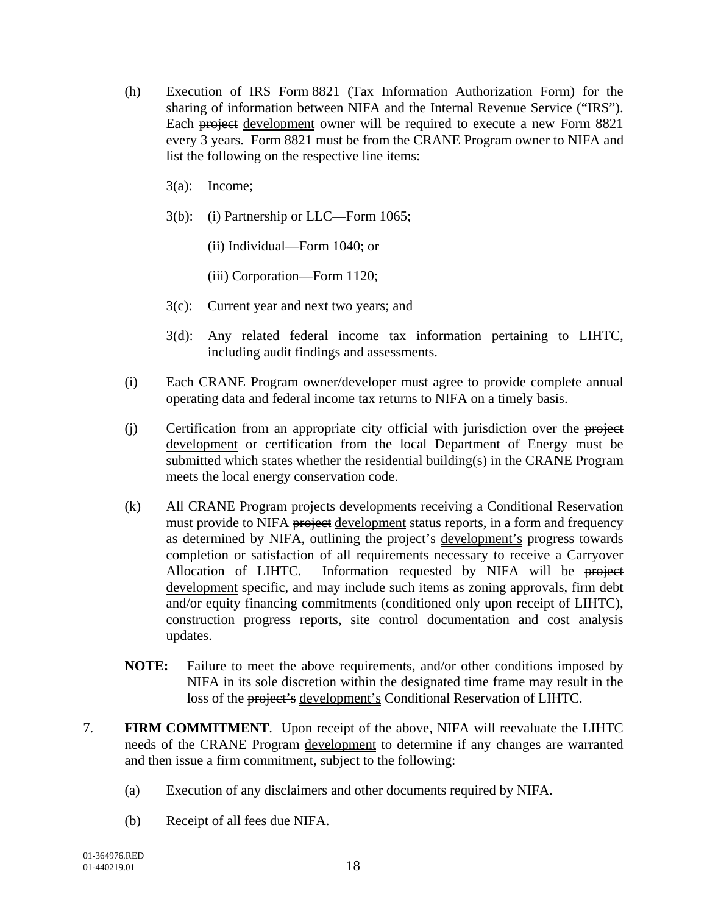- (h) Execution of IRS Form 8821 (Tax Information Authorization Form) for the sharing of information between NIFA and the Internal Revenue Service ("IRS"). Each project development owner will be required to execute a new Form 8821 every 3 years. Form 8821 must be from the CRANE Program owner to NIFA and list the following on the respective line items:
	- 3(a): Income;
	- 3(b): (i) Partnership or LLC—Form 1065;
		- (ii) Individual—Form 1040; or
		- (iii) Corporation—Form 1120;
	- 3(c): Current year and next two years; and
	- 3(d): Any related federal income tax information pertaining to LIHTC, including audit findings and assessments.
- (i) Each CRANE Program owner/developer must agree to provide complete annual operating data and federal income tax returns to NIFA on a timely basis.
- (i) Certification from an appropriate city official with jurisdiction over the project development or certification from the local Department of Energy must be submitted which states whether the residential building(s) in the CRANE Program meets the local energy conservation code.
- (k) All CRANE Program projects developments receiving a Conditional Reservation must provide to NIFA project development status reports, in a form and frequency as determined by NIFA, outlining the project's development's progress towards completion or satisfaction of all requirements necessary to receive a Carryover Allocation of LIHTC. Information requested by NIFA will be project development specific, and may include such items as zoning approvals, firm debt and/or equity financing commitments (conditioned only upon receipt of LIHTC), construction progress reports, site control documentation and cost analysis updates.
- **NOTE:** Failure to meet the above requirements, and/or other conditions imposed by NIFA in its sole discretion within the designated time frame may result in the loss of the project's development's Conditional Reservation of LIHTC.
- 7. **FIRM COMMITMENT**. Upon receipt of the above, NIFA will reevaluate the LIHTC needs of the CRANE Program development to determine if any changes are warranted and then issue a firm commitment, subject to the following:
	- (a) Execution of any disclaimers and other documents required by NIFA.
	- (b) Receipt of all fees due NIFA.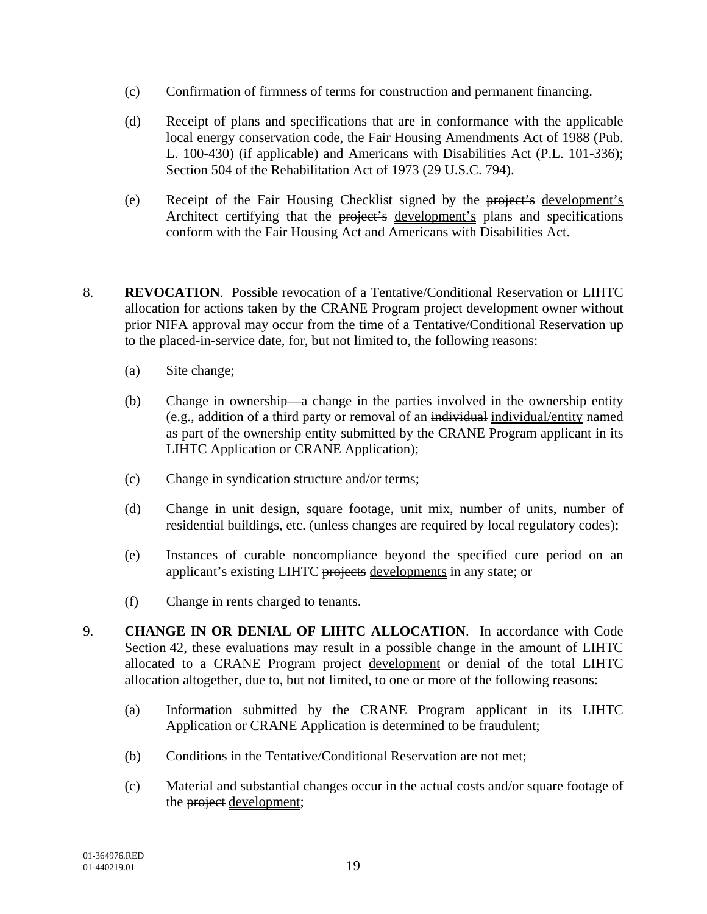- (c) Confirmation of firmness of terms for construction and permanent financing.
- (d) Receipt of plans and specifications that are in conformance with the applicable local energy conservation code, the Fair Housing Amendments Act of 1988 (Pub. L. 100-430) (if applicable) and Americans with Disabilities Act (P.L. 101-336); Section 504 of the Rehabilitation Act of 1973 (29 U.S.C. 794).
- (e) Receipt of the Fair Housing Checklist signed by the project's development's Architect certifying that the project's development's plans and specifications conform with the Fair Housing Act and Americans with Disabilities Act.
- 8. **REVOCATION**.Possible revocation of a Tentative/Conditional Reservation or LIHTC allocation for actions taken by the CRANE Program project development owner without prior NIFA approval may occur from the time of a Tentative/Conditional Reservation up to the placed-in-service date, for, but not limited to, the following reasons:
	- (a) Site change;
	- (b) Change in ownership—a change in the parties involved in the ownership entity (e.g., addition of a third party or removal of an individual individual/entity named as part of the ownership entity submitted by the CRANE Program applicant in its LIHTC Application or CRANE Application);
	- (c) Change in syndication structure and/or terms;
	- (d) Change in unit design, square footage, unit mix, number of units, number of residential buildings, etc. (unless changes are required by local regulatory codes);
	- (e) Instances of curable noncompliance beyond the specified cure period on an applicant's existing LIHTC projects developments in any state; or
	- (f) Change in rents charged to tenants.
- 9. **CHANGE IN OR DENIAL OF LIHTC ALLOCATION**. In accordance with Code Section 42, these evaluations may result in a possible change in the amount of LIHTC allocated to a CRANE Program project development or denial of the total LIHTC allocation altogether, due to, but not limited, to one or more of the following reasons:
	- (a) Information submitted by the CRANE Program applicant in its LIHTC Application or CRANE Application is determined to be fraudulent;
	- (b) Conditions in the Tentative/Conditional Reservation are not met;
	- (c) Material and substantial changes occur in the actual costs and/or square footage of the project development;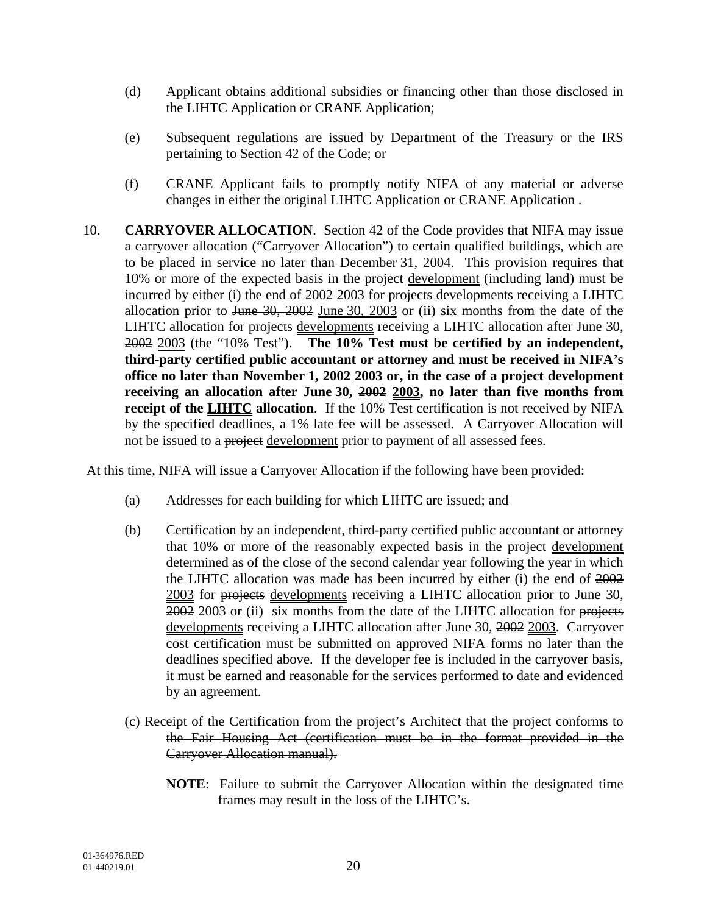- (d) Applicant obtains additional subsidies or financing other than those disclosed in the LIHTC Application or CRANE Application;
- (e) Subsequent regulations are issued by Department of the Treasury or the IRS pertaining to Section 42 of the Code; or
- (f) CRANE Applicant fails to promptly notify NIFA of any material or adverse changes in either the original LIHTC Application or CRANE Application .
- 10. **CARRYOVER ALLOCATION**. Section 42 of the Code provides that NIFA may issue a carryover allocation ("Carryover Allocation") to certain qualified buildings, which are to be placed in service no later than December 31, 2004. This provision requires that 10% or more of the expected basis in the project development (including land) must be incurred by either (i) the end of 2002 2003 for projects developments receiving a LIHTC allocation prior to June 30, 2002 June 30, 2003 or (ii) six months from the date of the LIHTC allocation for projects developments receiving a LIHTC allocation after June 30, 2002 2003 (the "10% Test"). **The 10% Test must be certified by an independent, third-party certified public accountant or attorney and must be received in NIFA's office no later than November 1, 2002 2003 or, in the case of a project development receiving an allocation after June 30, 2002 2003, no later than five months from receipt of the LIHTC allocation**. If the 10% Test certification is not received by NIFA by the specified deadlines, a 1% late fee will be assessed. A Carryover Allocation will not be issued to a project development prior to payment of all assessed fees.

At this time, NIFA will issue a Carryover Allocation if the following have been provided:

- (a) Addresses for each building for which LIHTC are issued; and
- (b) Certification by an independent, third-party certified public accountant or attorney that 10% or more of the reasonably expected basis in the project development determined as of the close of the second calendar year following the year in which the LIHTC allocation was made has been incurred by either (i) the end of 2002 2003 for projects developments receiving a LIHTC allocation prior to June 30, 2002 2003 or (ii) six months from the date of the LIHTC allocation for projects developments receiving a LIHTC allocation after June 30, 2002 2003. Carryover cost certification must be submitted on approved NIFA forms no later than the deadlines specified above. If the developer fee is included in the carryover basis, it must be earned and reasonable for the services performed to date and evidenced by an agreement.
- (c) Receipt of the Certification from the project's Architect that the project conforms to the Fair Housing Act (certification must be in the format provided in the Carryover Allocation manual).
	- **NOTE**: Failure to submit the Carryover Allocation within the designated time frames may result in the loss of the LIHTC's.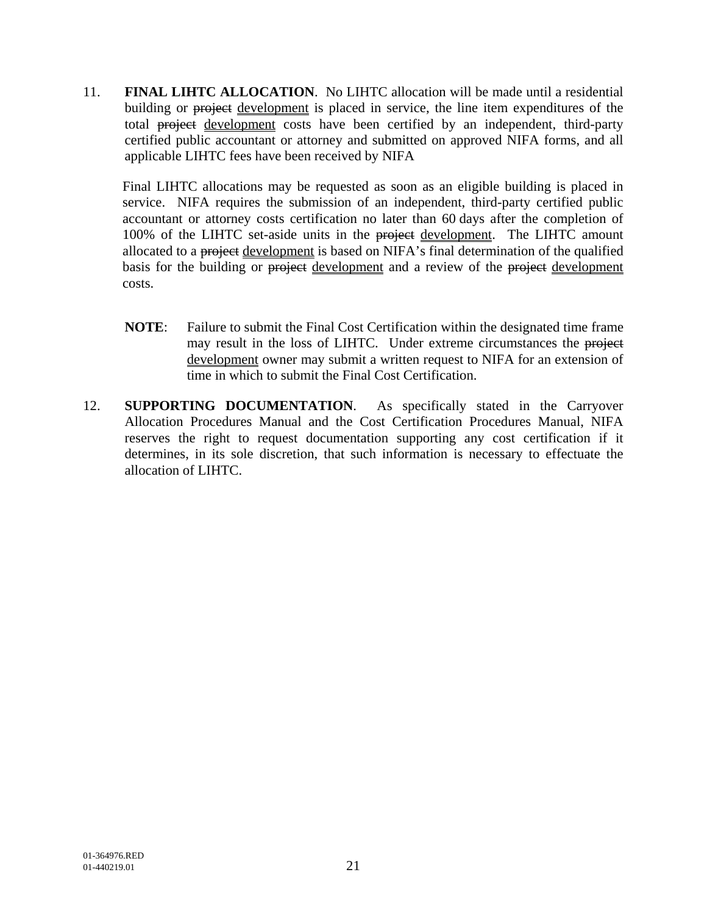11. **FINAL LIHTC ALLOCATION**. No LIHTC allocation will be made until a residential building or project development is placed in service, the line item expenditures of the total project development costs have been certified by an independent, third-party certified public accountant or attorney and submitted on approved NIFA forms, and all applicable LIHTC fees have been received by NIFA

Final LIHTC allocations may be requested as soon as an eligible building is placed in service. NIFA requires the submission of an independent, third-party certified public accountant or attorney costs certification no later than 60 days after the completion of 100% of the LIHTC set-aside units in the project development. The LIHTC amount allocated to a project development is based on NIFA's final determination of the qualified basis for the building or project development and a review of the project development costs.

- **NOTE**: Failure to submit the Final Cost Certification within the designated time frame may result in the loss of LIHTC. Under extreme circumstances the project development owner may submit a written request to NIFA for an extension of time in which to submit the Final Cost Certification.
- 12. **SUPPORTING DOCUMENTATION**. As specifically stated in the Carryover Allocation Procedures Manual and the Cost Certification Procedures Manual, NIFA reserves the right to request documentation supporting any cost certification if it determines, in its sole discretion, that such information is necessary to effectuate the allocation of LIHTC.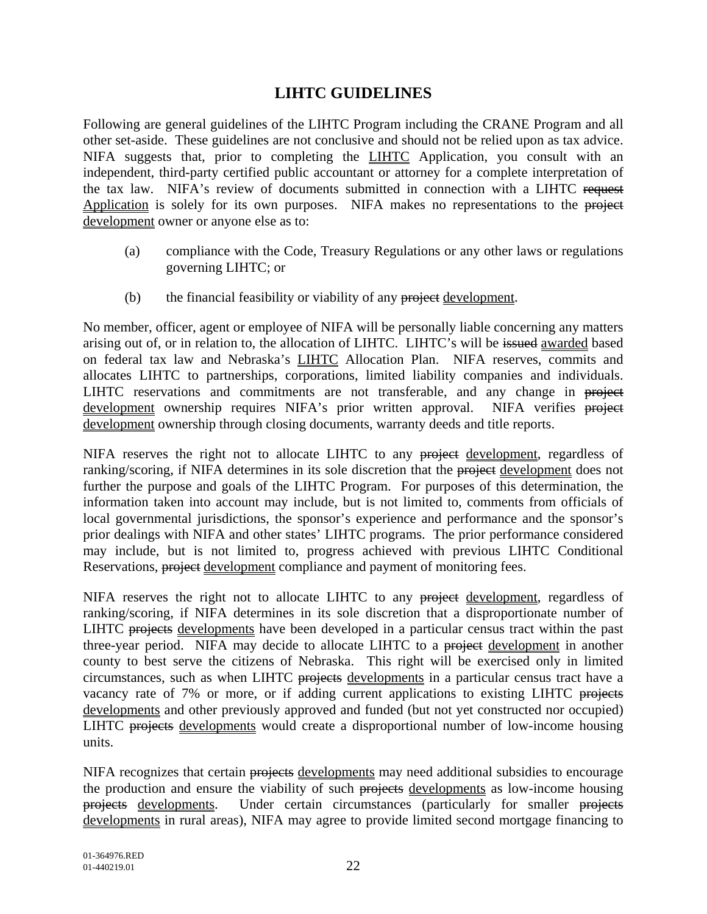### **LIHTC GUIDELINES**

Following are general guidelines of the LIHTC Program including the CRANE Program and all other set-aside. These guidelines are not conclusive and should not be relied upon as tax advice. NIFA suggests that, prior to completing the **LIHTC** Application, you consult with an independent, third-party certified public accountant or attorney for a complete interpretation of the tax law. NIFA's review of documents submitted in connection with a LIHTC request Application is solely for its own purposes. NIFA makes no representations to the project development owner or anyone else as to:

- (a) compliance with the Code, Treasury Regulations or any other laws or regulations governing LIHTC; or
- (b) the financial feasibility or viability of any project development.

No member, officer, agent or employee of NIFA will be personally liable concerning any matters arising out of, or in relation to, the allocation of LIHTC. LIHTC's will be issued awarded based on federal tax law and Nebraska's LIHTC Allocation Plan. NIFA reserves, commits and allocates LIHTC to partnerships, corporations, limited liability companies and individuals. LIHTC reservations and commitments are not transferable, and any change in project development ownership requires NIFA's prior written approval. NIFA verifies project development ownership through closing documents, warranty deeds and title reports.

NIFA reserves the right not to allocate LIHTC to any project development, regardless of ranking/scoring, if NIFA determines in its sole discretion that the project development does not further the purpose and goals of the LIHTC Program. For purposes of this determination, the information taken into account may include, but is not limited to, comments from officials of local governmental jurisdictions, the sponsor's experience and performance and the sponsor's prior dealings with NIFA and other states' LIHTC programs. The prior performance considered may include, but is not limited to, progress achieved with previous LIHTC Conditional Reservations, project development compliance and payment of monitoring fees.

NIFA reserves the right not to allocate LIHTC to any project development, regardless of ranking/scoring, if NIFA determines in its sole discretion that a disproportionate number of LIHTC projects developments have been developed in a particular census tract within the past three-year period. NIFA may decide to allocate LIHTC to a project development in another county to best serve the citizens of Nebraska. This right will be exercised only in limited circumstances, such as when LIHTC projects developments in a particular census tract have a vacancy rate of 7% or more, or if adding current applications to existing LIHTC projects developments and other previously approved and funded (but not yet constructed nor occupied) LIHTC projects developments would create a disproportional number of low-income housing units.

NIFA recognizes that certain projects developments may need additional subsidies to encourage the production and ensure the viability of such projects developments as low-income housing projects developments. Under certain circumstances (particularly for smaller projects developments in rural areas), NIFA may agree to provide limited second mortgage financing to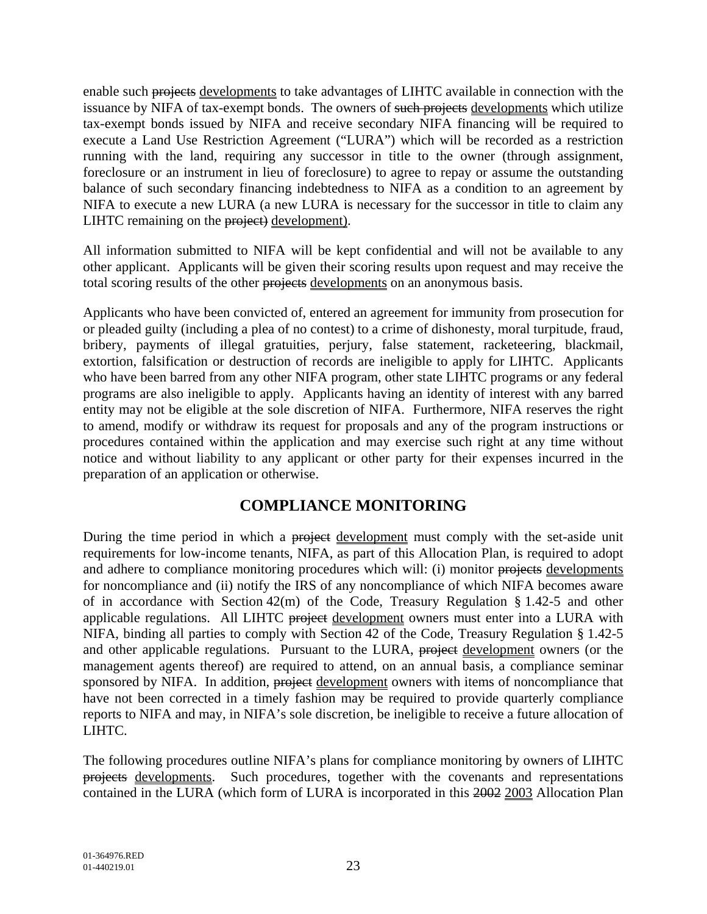enable such projects developments to take advantages of LIHTC available in connection with the issuance by NIFA of tax-exempt bonds. The owners of such projects developments which utilize tax-exempt bonds issued by NIFA and receive secondary NIFA financing will be required to execute a Land Use Restriction Agreement ("LURA") which will be recorded as a restriction running with the land, requiring any successor in title to the owner (through assignment, foreclosure or an instrument in lieu of foreclosure) to agree to repay or assume the outstanding balance of such secondary financing indebtedness to NIFA as a condition to an agreement by NIFA to execute a new LURA (a new LURA is necessary for the successor in title to claim any LIHTC remaining on the project) development).

All information submitted to NIFA will be kept confidential and will not be available to any other applicant. Applicants will be given their scoring results upon request and may receive the total scoring results of the other projects developments on an anonymous basis.

Applicants who have been convicted of, entered an agreement for immunity from prosecution for or pleaded guilty (including a plea of no contest) to a crime of dishonesty, moral turpitude, fraud, bribery, payments of illegal gratuities, perjury, false statement, racketeering, blackmail, extortion, falsification or destruction of records are ineligible to apply for LIHTC. Applicants who have been barred from any other NIFA program, other state LIHTC programs or any federal programs are also ineligible to apply. Applicants having an identity of interest with any barred entity may not be eligible at the sole discretion of NIFA. Furthermore, NIFA reserves the right to amend, modify or withdraw its request for proposals and any of the program instructions or procedures contained within the application and may exercise such right at any time without notice and without liability to any applicant or other party for their expenses incurred in the preparation of an application or otherwise.

#### **COMPLIANCE MONITORING**

During the time period in which a project development must comply with the set-aside unit requirements for low-income tenants, NIFA, as part of this Allocation Plan, is required to adopt and adhere to compliance monitoring procedures which will: (i) monitor projects developments for noncompliance and (ii) notify the IRS of any noncompliance of which NIFA becomes aware of in accordance with Section 42(m) of the Code, Treasury Regulation § 1.42-5 and other applicable regulations. All LIHTC project development owners must enter into a LURA with NIFA, binding all parties to comply with Section 42 of the Code, Treasury Regulation § 1.42-5 and other applicable regulations. Pursuant to the LURA, project development owners (or the management agents thereof) are required to attend, on an annual basis, a compliance seminar sponsored by NIFA. In addition, project development owners with items of noncompliance that have not been corrected in a timely fashion may be required to provide quarterly compliance reports to NIFA and may, in NIFA's sole discretion, be ineligible to receive a future allocation of LIHTC.

The following procedures outline NIFA's plans for compliance monitoring by owners of LIHTC projects developments. Such procedures, together with the covenants and representations contained in the LURA (which form of LURA is incorporated in this 2002 2003 Allocation Plan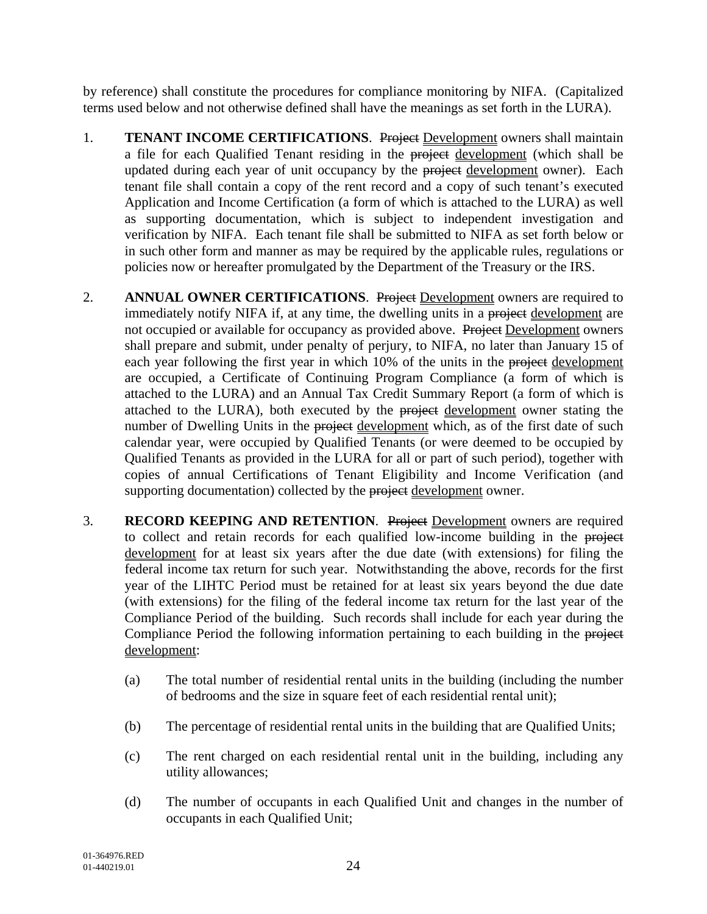by reference) shall constitute the procedures for compliance monitoring by NIFA. (Capitalized terms used below and not otherwise defined shall have the meanings as set forth in the LURA).

- 1. **TENANT INCOME CERTIFICATIONS.** Project Development owners shall maintain a file for each Qualified Tenant residing in the project development (which shall be updated during each year of unit occupancy by the project development owner). Each tenant file shall contain a copy of the rent record and a copy of such tenant's executed Application and Income Certification (a form of which is attached to the LURA) as well as supporting documentation, which is subject to independent investigation and verification by NIFA. Each tenant file shall be submitted to NIFA as set forth below or in such other form and manner as may be required by the applicable rules, regulations or policies now or hereafter promulgated by the Department of the Treasury or the IRS.
- 2. **ANNUAL OWNER CERTIFICATIONS.** Project Development owners are required to immediately notify NIFA if, at any time, the dwelling units in a project development are not occupied or available for occupancy as provided above. Project Development owners shall prepare and submit, under penalty of perjury, to NIFA, no later than January 15 of each year following the first year in which 10% of the units in the project development are occupied, a Certificate of Continuing Program Compliance (a form of which is attached to the LURA) and an Annual Tax Credit Summary Report (a form of which is attached to the LURA), both executed by the project development owner stating the number of Dwelling Units in the project development which, as of the first date of such calendar year, were occupied by Qualified Tenants (or were deemed to be occupied by Qualified Tenants as provided in the LURA for all or part of such period), together with copies of annual Certifications of Tenant Eligibility and Income Verification (and supporting documentation) collected by the project development owner.
- 3. **RECORD KEEPING AND RETENTION**. Project Development owners are required to collect and retain records for each qualified low-income building in the project development for at least six years after the due date (with extensions) for filing the federal income tax return for such year. Notwithstanding the above, records for the first year of the LIHTC Period must be retained for at least six years beyond the due date (with extensions) for the filing of the federal income tax return for the last year of the Compliance Period of the building. Such records shall include for each year during the Compliance Period the following information pertaining to each building in the project development:
	- (a) The total number of residential rental units in the building (including the number of bedrooms and the size in square feet of each residential rental unit);
	- (b) The percentage of residential rental units in the building that are Qualified Units;
	- (c) The rent charged on each residential rental unit in the building, including any utility allowances;
	- (d) The number of occupants in each Qualified Unit and changes in the number of occupants in each Qualified Unit;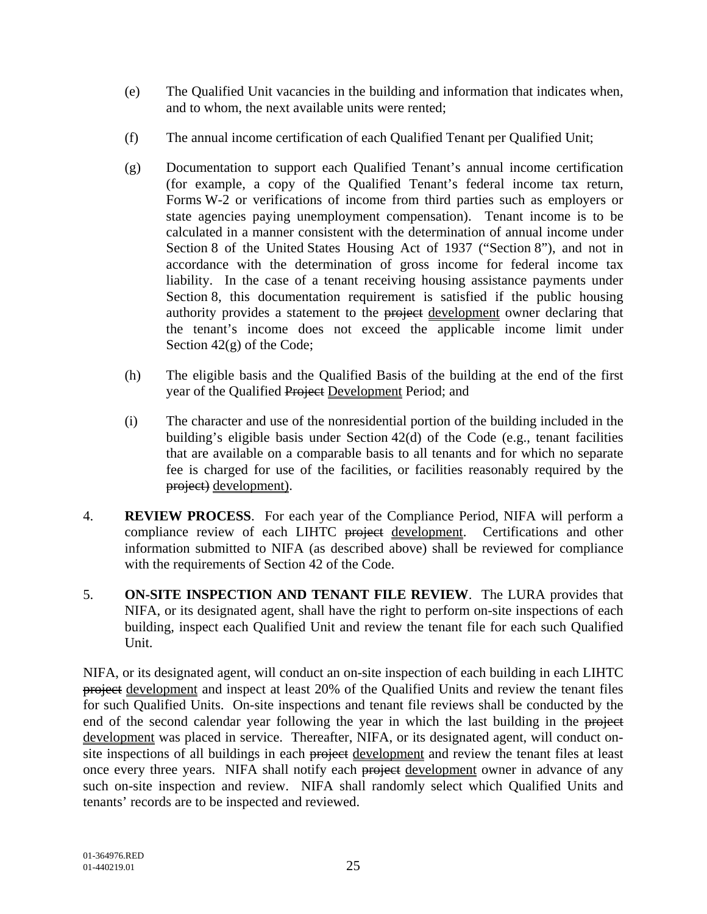- (e) The Qualified Unit vacancies in the building and information that indicates when, and to whom, the next available units were rented;
- (f) The annual income certification of each Qualified Tenant per Qualified Unit;
- (g) Documentation to support each Qualified Tenant's annual income certification (for example, a copy of the Qualified Tenant's federal income tax return, Forms W-2 or verifications of income from third parties such as employers or state agencies paying unemployment compensation). Tenant income is to be calculated in a manner consistent with the determination of annual income under Section 8 of the United States Housing Act of 1937 ("Section 8"), and not in accordance with the determination of gross income for federal income tax liability. In the case of a tenant receiving housing assistance payments under Section 8, this documentation requirement is satisfied if the public housing authority provides a statement to the project development owner declaring that the tenant's income does not exceed the applicable income limit under Section 42(g) of the Code;
- (h) The eligible basis and the Qualified Basis of the building at the end of the first year of the Qualified Project Development Period; and
- (i) The character and use of the nonresidential portion of the building included in the building's eligible basis under Section 42(d) of the Code (e.g., tenant facilities that are available on a comparable basis to all tenants and for which no separate fee is charged for use of the facilities, or facilities reasonably required by the project) development).
- 4. **REVIEW PROCESS**. For each year of the Compliance Period, NIFA will perform a compliance review of each LIHTC project development. Certifications and other information submitted to NIFA (as described above) shall be reviewed for compliance with the requirements of Section 42 of the Code.
- 5. **ON-SITE INSPECTION AND TENANT FILE REVIEW**. The LURA provides that NIFA, or its designated agent, shall have the right to perform on-site inspections of each building, inspect each Qualified Unit and review the tenant file for each such Qualified Unit.

NIFA, or its designated agent, will conduct an on-site inspection of each building in each LIHTC project development and inspect at least 20% of the Qualified Units and review the tenant files for such Qualified Units. On-site inspections and tenant file reviews shall be conducted by the end of the second calendar year following the year in which the last building in the project development was placed in service. Thereafter, NIFA, or its designated agent, will conduct onsite inspections of all buildings in each project development and review the tenant files at least once every three years. NIFA shall notify each project development owner in advance of any such on-site inspection and review. NIFA shall randomly select which Qualified Units and tenants' records are to be inspected and reviewed.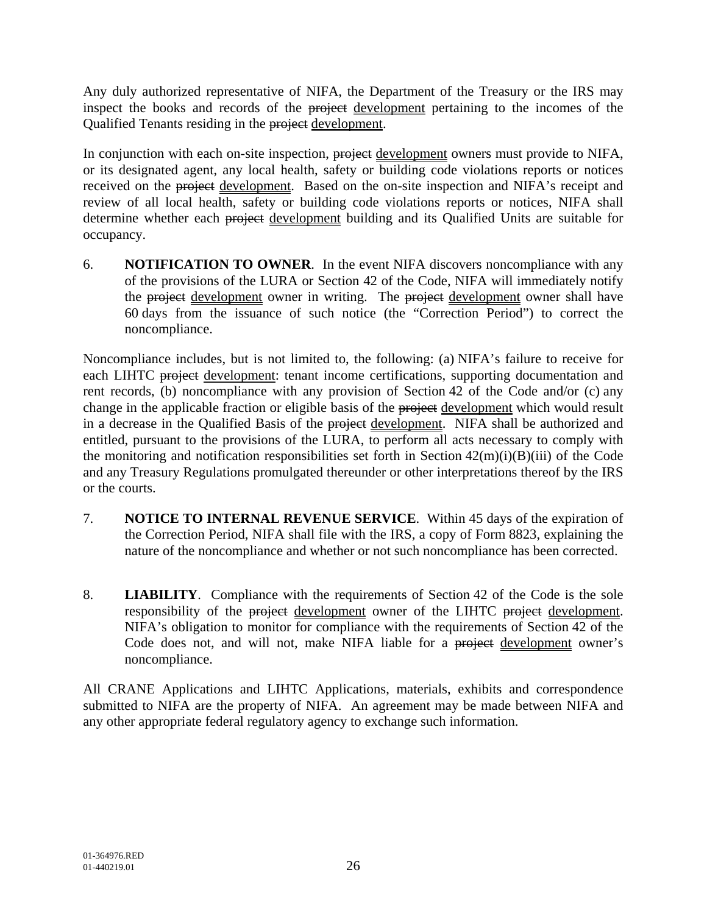Any duly authorized representative of NIFA, the Department of the Treasury or the IRS may inspect the books and records of the project development pertaining to the incomes of the Qualified Tenants residing in the project development.

In conjunction with each on-site inspection, project development owners must provide to NIFA, or its designated agent, any local health, safety or building code violations reports or notices received on the project development. Based on the on-site inspection and NIFA's receipt and review of all local health, safety or building code violations reports or notices, NIFA shall determine whether each project development building and its Qualified Units are suitable for occupancy.

6. **NOTIFICATION TO OWNER**. In the event NIFA discovers noncompliance with any of the provisions of the LURA or Section 42 of the Code, NIFA will immediately notify the project development owner in writing. The project development owner shall have 60 days from the issuance of such notice (the "Correction Period") to correct the noncompliance.

Noncompliance includes, but is not limited to, the following: (a) NIFA's failure to receive for each LIHTC project development: tenant income certifications, supporting documentation and rent records, (b) noncompliance with any provision of Section 42 of the Code and/or (c) any change in the applicable fraction or eligible basis of the project development which would result in a decrease in the Qualified Basis of the project development. NIFA shall be authorized and entitled, pursuant to the provisions of the LURA, to perform all acts necessary to comply with the monitoring and notification responsibilities set forth in Section  $42(m)(i)(B)(iii)$  of the Code and any Treasury Regulations promulgated thereunder or other interpretations thereof by the IRS or the courts.

- 7. **NOTICE TO INTERNAL REVENUE SERVICE**. Within 45 days of the expiration of the Correction Period, NIFA shall file with the IRS, a copy of Form 8823, explaining the nature of the noncompliance and whether or not such noncompliance has been corrected.
- 8. **LIABILITY**. Compliance with the requirements of Section 42 of the Code is the sole responsibility of the project development owner of the LIHTC project development. NIFA's obligation to monitor for compliance with the requirements of Section 42 of the Code does not, and will not, make NIFA liable for a project development owner's noncompliance.

All CRANE Applications and LIHTC Applications, materials, exhibits and correspondence submitted to NIFA are the property of NIFA. An agreement may be made between NIFA and any other appropriate federal regulatory agency to exchange such information.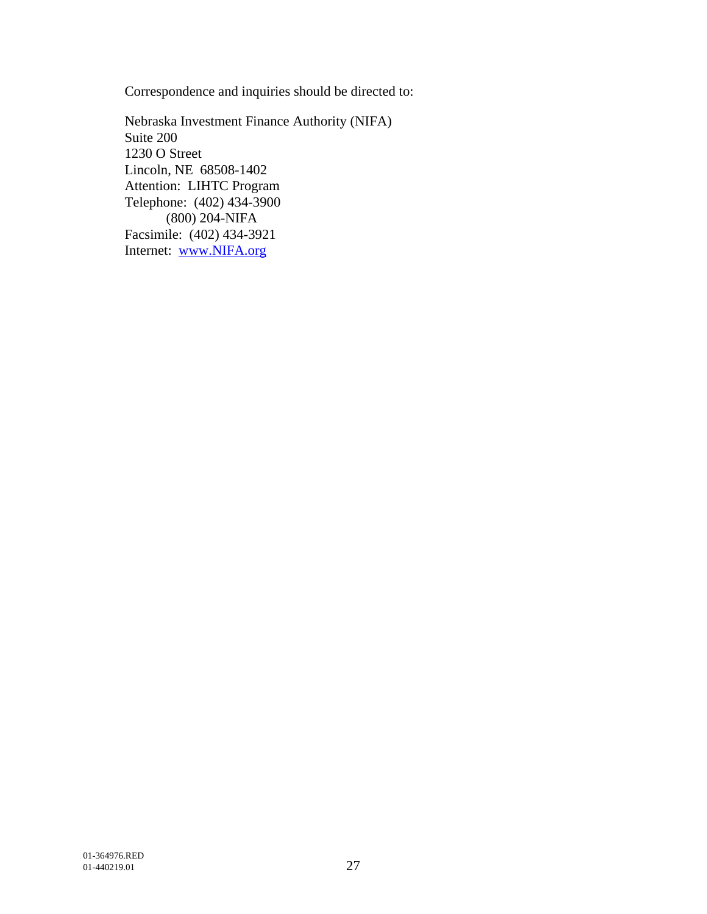Correspondence and inquiries should be directed to:

Nebraska Investment Finance Authority (NIFA) Suite 200 1230 O Street Lincoln, NE 68508-1402 Attention: LIHTC Program Telephone: (402) 434-3900 (800) 204-NIFA Facsimile: (402) 434-3921 Internet: www.NIFA.org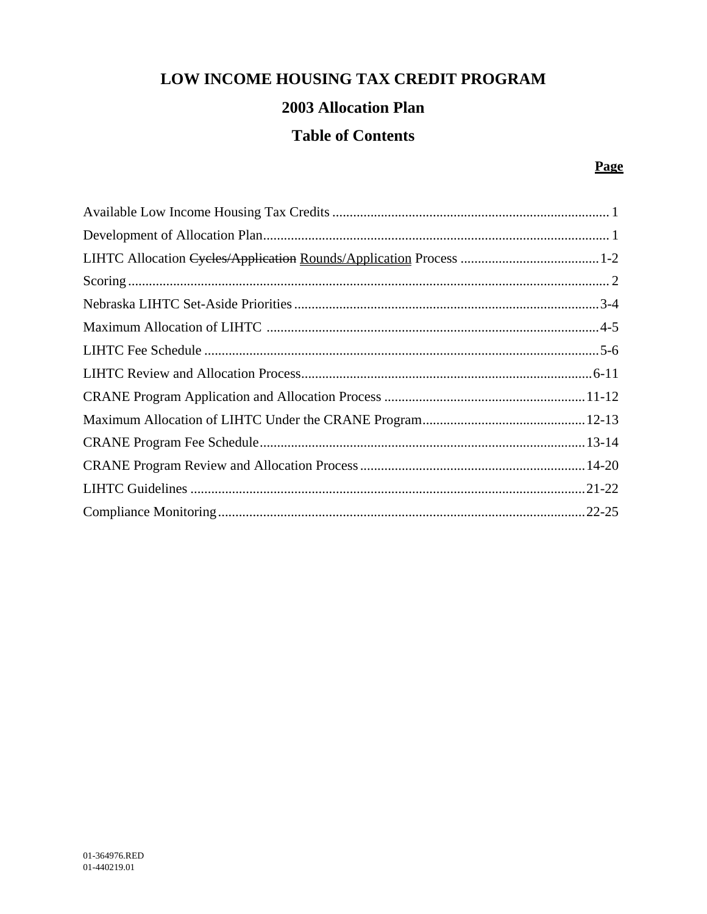# **LOW INCOME HOUSING TAX CREDIT PROGRAM**

### **2003 Allocation Plan**

## **Table of Contents**

#### **Page**